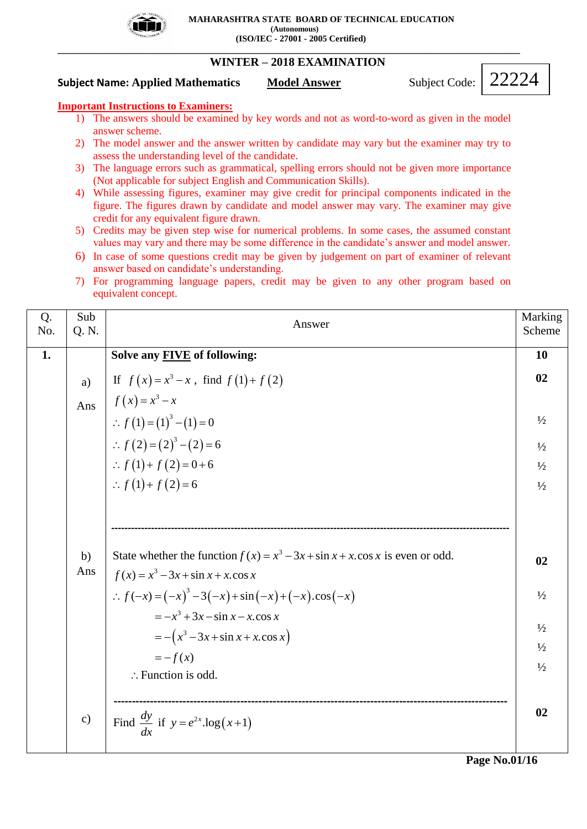

**\_\_\_\_\_\_\_\_\_\_\_\_\_\_\_\_\_\_\_\_\_\_\_\_\_\_\_\_\_\_\_\_\_\_\_\_\_\_\_\_\_\_\_\_\_\_\_\_\_\_\_\_\_\_\_\_\_\_\_\_\_\_\_\_\_\_\_\_\_\_\_\_\_\_\_\_\_\_\_\_\_\_\_\_\_\_\_\_\_\_\_\_\_\_**

# **WINTER – 2018 EXAMINATION**

**Subject Name: Applied Mathematics Model Answer Subject Code:** 

22224

## **Important Instructions to Examiners:**

- 1) The answers should be examined by key words and not as word-to-word as given in the model answer scheme.
- 2) The model answer and the answer written by candidate may vary but the examiner may try to assess the understanding level of the candidate.
- 3) The language errors such as grammatical, spelling errors should not be given more importance (Not applicable for subject English and Communication Skills).
- 4) While assessing figures, examiner may give credit for principal components indicated in the figure. The figures drawn by candidate and model answer may vary. The examiner may give credit for any equivalent figure drawn.
- 5) Credits may be given step wise for numerical problems. In some cases, the assumed constant values may vary and there may be some difference in the candidate's answer and model answer.
- 6) In case of some questions credit may be given by judgement on part of examiner of relevant answer based on candidate's understanding.
- 7) For programming language papers, credit may be given to any other program based on equivalent concept.

| Q.<br>No. | Sub<br>Q. N.  | Answer                                                                                                                                                                                                                                                                                                                         | Marking<br>Scheme                                                      |
|-----------|---------------|--------------------------------------------------------------------------------------------------------------------------------------------------------------------------------------------------------------------------------------------------------------------------------------------------------------------------------|------------------------------------------------------------------------|
| 1.        |               | Solve any <b>FIVE</b> of following:                                                                                                                                                                                                                                                                                            | 10                                                                     |
|           | a)<br>Ans     | If $f(x) = x^3 - x$ , find $f(1) + f(2)$<br>$f(x) = x3 - x$<br>$\therefore f(1) = (1)3 - (1) = 0$<br>:. $f(2) = (2)^3 - (2) = 6$<br>:. $f(1) + f(2) = 0 + 6$<br>:. $f(1) + f(2) = 6$                                                                                                                                           | 02<br>$\frac{1}{2}$<br>$\frac{1}{2}$<br>$\frac{1}{2}$<br>$\frac{1}{2}$ |
|           | b)<br>Ans     | State whether the function $f(x) = x^3 - 3x + \sin x + x \cdot \cos x$ is even or odd.<br>$f(x) = x^3 - 3x + \sin x + x \cdot \cos x$<br>$\therefore f(-x) = (-x)^3 - 3(-x) + \sin(-x) + (-x) \cdot \cos(-x)$<br>$=-x^3+3x-\sin x-x\cos x$<br>$= -(x^3 - 3x + \sin x + x \cos x)$<br>$=-f(x)$<br>$\therefore$ Function is odd. | 02<br>$\frac{1}{2}$<br>$\frac{1}{2}$<br>$\frac{1}{2}$<br>$\frac{1}{2}$ |
|           | $\mathbf{c})$ | Find $\frac{dy}{dx}$ if $y = e^{2x} \cdot log(x+1)$                                                                                                                                                                                                                                                                            | 02                                                                     |

**Page No.01/16**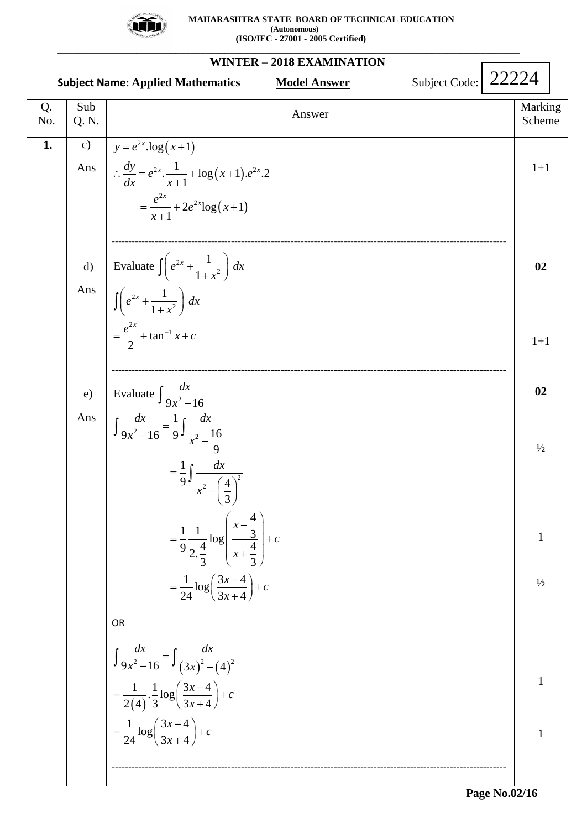

**WINTER – 2018 EXAMINATION Subject Name: Applied Mathematics Model Answer Subject Code:** Q. No. Sub Sub<br>
Q. N. Marking<br>  $\begin{array}{c|c}\n\hline\n\end{array}$  Marking<br>
Scheme Scheme 1. c) Ans  $\left| \therefore \frac{dy}{dx} = e^{2x} \cdot \frac{1}{x+1} + \log(x+1) \cdot e^{2x} \cdot 2 \right|$ d) Evaluate  $\int e^2$ Ans e) Evaluate  $\int \frac{dx}{9x^2 - 16}$ Ans <sup>2x</sup>.log(x+1)  $(x+1)$ <sup>2x</sup>  $\sqrt{2a^2}$  $\frac{1}{\log(x+1)}$  $=\frac{e^{2x}}{x+1}+2e^{2x}\log(x+1)$ *x*  $\frac{dy}{dx} = e^{2x} \cdot \frac{1}{x+1} + \log(x+1) \cdot e^{2x}$  $=\frac{e^{2x}}{x+1}+2e^{2x}\log(x+1)$  $y = e^{2x} \cdot \log(x+1)$  $\frac{dy}{dx} = e^{2x} \cdot \frac{1}{x}$  $\therefore \frac{dy}{dx} = e^{2x} \cdot \frac{1}{x+1} + \log(x+1).e^{x}$ **-----------------------------------------------------------------------------------------------------------------------** 2 2 2  $\frac{2x}{2} + \tan^{-1}$ Evaluate  $\int \left( e^{2x} + \frac{1}{1} \right)$ 1 1 1 2  $\int \left( e^{2x} + \frac{1}{1+x^2} \right) dx$  $\int \left( e^{2x} + \frac{1}{1+x^2} \right) dx$  $=\frac{e^{2x}}{2} + \tan^{-1} x + c$ **-----------------------------------------------------------------------------------------------------------------------**  $2^2-16$  9  $\frac{1}{x^2}$ 2 2  $\frac{dx}{9x^2-16} = \frac{1}{9} \int \frac{dx}{x^2-16}$ 9 1 9<sup>J</sup><sub>2</sub>  $(4)$ 3  $=\frac{1}{9}\frac{1}{2\cdot\frac{4}{3}}\log \left(\frac{x-\frac{4}{3}}{x+\frac{4}{3}}\right)$  $rac{4}{3}$   $x + \frac{4}{3}$  $\frac{3}{1} \log \left( \frac{3x-4}{2} \right)$  $\frac{1}{24}\log\left(\frac{3x-4}{3x+4}\right)+c$  $\int \frac{dx}{9x^2}$ <sup>9</sup>  $9x^2 - 16$ <br> $\frac{dx}{dx} - \frac{1}{x} \int \frac{dx}{x^2}$  $x^2-16$  9<sup>J</sup><sub>x</sub> *dx x x c x x*  $=$  $\int \frac{dx}{9x^2-16} = \frac{1}{9} \int \frac{dx}{x^2-\frac{16}{x^2}}$  $=\frac{1}{9}\int \frac{dx}{x^2-\left(\frac{4}{x}\right)^2}$  $-\left(\frac{4}{3}\right)^2$  $\binom{3}{r-4}$  $\left(x-\frac{4}{3}\right)$  $=\frac{1}{9} \frac{1}{4} \log \left| \frac{x-\frac{1}{3}}{4} \right| + c$  $\left|\frac{3}{x+\frac{4}{2}}\right|+c$  $\left(x+\frac{4}{3}\right)$  $=$  $\frac{1}{24}$ log $\left(\frac{3x-4}{3x+4}\right) + c$ ſ OR  $\frac{12}{9x^2-16} = \int \frac{12}{(3x)^2-(4)^2}$  $(4)$  $\frac{1}{(4)} \cdot \frac{1}{2} \log \left( \frac{3x-4}{3x+4} \right)$  $\frac{1}{2(4)} \cdot \frac{1}{3} \log \left( \frac{2k}{3x+4} \right)$  $\frac{1}{\log \left( \frac{3x-4}{2} \right)}$  $\frac{1}{24} \log \left( \frac{2\pi}{3x+4} \right)$  $\frac{dx}{dx}$   $\int dx$  $x^2-16$   $\frac{J}{3x}$  $\left(\frac{x-4}{2}\right)+c$ *x*  $\left(\frac{x-4}{2}\right)+c$ *x*  $=$  $\int \frac{dx}{9x^2-16} = \int \frac{dx}{(3x)^2-1}$  $=\frac{1}{2(4)} \cdot \frac{1}{3} \log \left( \frac{3x-4}{3x+4} \right) + c$  $=\frac{1}{24}\log\left(\frac{3x-4}{3x+4}\right)+c$ -----------------------------------------------------------------------------------------------------------------------  $1+1$ **02**  $1+1$ **02**  $\frac{1}{2}$ 1  $\frac{1}{2}$ 1 1 22224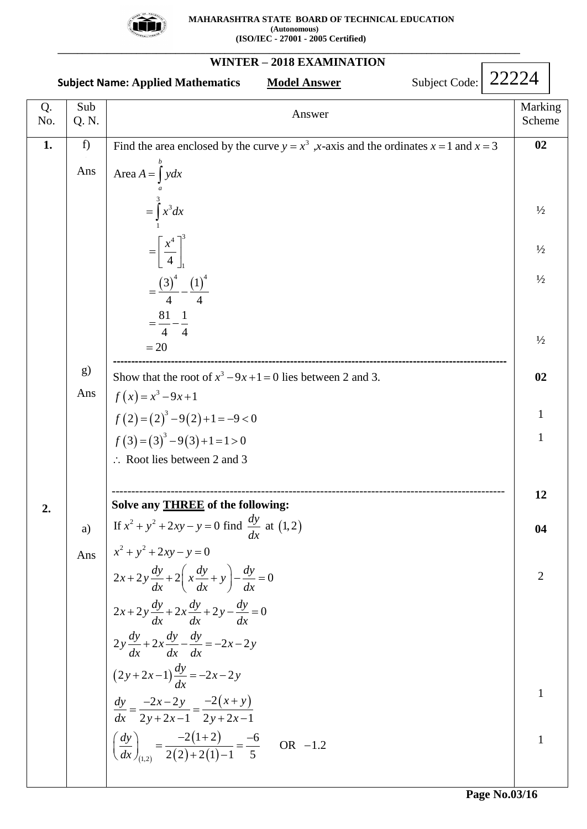

**\_\_\_\_\_\_\_\_\_\_\_\_\_\_\_\_\_\_\_\_\_\_\_\_\_\_\_\_\_\_\_\_\_\_\_\_\_\_\_\_\_\_\_\_\_\_\_\_\_\_\_\_\_\_\_\_\_\_\_\_\_\_\_\_\_\_\_\_\_\_\_\_\_\_\_\_\_\_\_\_\_\_\_\_\_\_\_\_\_\_\_\_\_\_**

#### **WINTER – 2018 EXAMINATION Subject Name: Applied Mathematics Model Answer Subject Code:** Q. No. Sub Sub<br>
Q. N. Marking<br>  $\begin{array}{c|c}\n\hline\n\end{array}$  Marking<br>
Scheme Scheme **1. 2.** f) Ans g) Ans a) Ans  $\begin{bmatrix} 4 \end{bmatrix}$ <sub>1</sub><br>(3)<sup>4</sup> (1)<sup>4</sup> 3 3 3 1 4 $\mathcal{I}^3$ 1 Answer<br>Find the area enclosed by the curve  $y = x^3$ , x-axis and the ordinates  $x = 1$  and  $x = 3$  **02** Area 4  $\left[\frac{x^4}{4}\right]_1^3$ <br> $\left(\frac{3}{4}\right)^4 - \left(\frac{1}{4}\right)^4$  $\begin{bmatrix} 4 \\ 3 \end{bmatrix}$ <sub>1</sub><br>  $\begin{bmatrix} 3 \end{bmatrix}$ <sup>4</sup> -  $\begin{bmatrix} 1 \end{bmatrix}$ <br>  $\begin{bmatrix} 1 & 1 \end{bmatrix}$  $\frac{(3)^4}{4}$ <br>81 1  $=\frac{81}{4}-\frac{1}{4}$  $=20$ *b a* the area e<br> $A = \int_{a}^{b} ydx$ *x dx x*  $=$   $\int$  $=$   $\int$  $\int x^3 dx$ =  $\int_{1}^{1} x^{3} dx$ <br>=  $\left[\frac{x^{4}}{4}\right]_{1}^{3}$  $=\left[\frac{x^{2}}{4}\right]_{1}$ <br>=  $\frac{(3)^{4}}{4} - \frac{(1)^{4}}{4}$  $=\frac{(3)^4}{4} - \frac{(1)^4}{4}$ <br>=  $\frac{81}{4} - \frac{1}{4}$ **-------------------------------------------------------------------------------------------------------------**  $(x) = x^3$  $(2) = (2)^3 - 9(2)$  $f(3) = (3)^3 - 9(3)$ 3  $= 20$ <br>
Show that the root of  $x^3 - 9x + 1 = 0$  lies between 2 and 3. e root<br> $9x+1$  $(x) = x<sup>3</sup> - 9x + 1$ <br>2) = (2)<sup>3</sup> - 9(2) + 1 = -9 < 0  $f(x) = x^3 - 9x + 1$ <br>  $f(2) = (2)^3 - 9(2) + 1 = -9 < 0$ <br>  $f(3) = (3)^3 - 9(3) + 1 = 1 > 0$ : Root lies between 2 and 3 ---------<br>*x*<sup>3</sup> –9*x* Show that the *i*  $f(x) = x^3 - 9x$ --------------------------<br>-9x+1=0 lies be that the root of  $x^3 - x^3 - 9x + 1$ =  $(2)^3 - 9(2) + 1 = -9 < 0$ <br>=  $(3)^3 - 9(3) + 1 = 1 > 0$ ---------------------------------------------------------------------------------------------------- **Solve any THREE of the following:** Solve any **THREE** of the following:<br>If  $x^2 + y^2 + 2xy - y = 0$  find  $\frac{dy}{dx}$  at (1,2)  $\frac{dx}{(2y+2x-1)}\frac{dy}{dx} = -2x-2$  $\frac{2x-2y}{2x-2y} = \frac{-2(x+y)}{2x-2y}$  $(1,2)$  $(1+2)$  $r_{1,2}$  2(2)  $x^2 + y^2 + 2xy - y = 0$  in<br> $x^2 + y^2 + 2xy - y = 0$  $x^2 + y^2 + 2xy - y = 0$ <br>  $2x + 2y \frac{dy}{dx} + 2\left(x \frac{dy}{dx} + y\right) - \frac{dy}{dx} = 0$  $2x+2y\frac{dy}{dx}+2\left(\frac{x}{dx}+y\right)-\frac{dy}{dx}=0$ <br> $2x+2y\frac{dy}{dx}+2x\frac{dy}{dx}+2y-\frac{dy}{dx}=0$  $2x+2y\frac{dy}{dx}+2x\frac{dy}{dx}+2y-\frac{dy}{dx}=$ <br> $2y\frac{dy}{dx}+2x\frac{dy}{dx}-\frac{dy}{dx}=-2x-2y$  $\frac{-2x-2y}{2y+2x-1} = \frac{-2(x+y)}{2y+2x-1}$  $\frac{1}{2(1+2)}$  $\left(\frac{dy}{dx}\right)_{(1,2)} = \frac{-2(1-2)}{2(2)+2}$ *dy* **i** ve any **THREE** of the follow<br>  $x^2 + y^2 + 2xy - y = 0$  find  $\frac{dy}{dx}$  $\frac{dy}{dx} + 2\left(x\frac{dy}{dx} + y\right) - \frac{dy}{dx}$  $\frac{dy}{dx} + 2x \frac{dy}{dx} + 2y - \frac{dy}{dx}$  $\frac{dy}{dx} + 2x \frac{dy}{dx} - \frac{dy}{dx}$ *dy* dx dx dx<br>  $y + 2x - 1$   $\frac{dy}{dx} = -2x - 2y$  $(2y+2x-1)\frac{d}{dx} = -2x-2y$ <br> $\frac{dy}{dx} = \frac{-2x-2y}{x^2} = \frac{-2(x+y)}{x^2}$  $\frac{dy}{dx} = \frac{-2x - 2y}{2y + 2x - 1} = \frac{-2(x + 1)}{2y + 2x}$ *dx* +  $y^2$  + 2xy - y = 0<br>+ 2y  $\frac{dy}{dx}$  + 2 $\left(x \frac{dy}{dx} + y\right) - \frac{dy}{dx} = 0$ ax  $\left(\frac{dx}{dx}\right)$  ax<br>+2y  $\frac{dy}{dx}$  +2x  $\frac{dy}{dx}$  +2y -  $\frac{dy}{dx}$  = 0  $\int \frac{dx}{dx} dx = \frac{dx}{dx}$ <br>+2x $\frac{dy}{dx} - \frac{dy}{dx} = -2x - 2y$  $(-2x-1)\frac{1}{dx} = -2x-2y$ <br>=  $\frac{-2x-2y}{2y+2x-1} = \frac{-2(x+y)}{2y+2x-1}$  $\frac{2x-2y}{x+2x-1} = \frac{-2(x+y)}{2y+2x-1}$  $\left(\frac{dy}{dx}\right)^{-2}y+2x-1$   $\left(\frac{dy}{dx}\right)^{-2}(1+2)$  $\left(\frac{dy}{dx}\right)_{(1,2)} = \frac{-2(1+2)}{2(2)+2(1)-1} = \frac{-6}{5}$  OR -1.2  $\frac{2}{(1)-1} = \frac{-6}{5}$  $\frac{1}{-1} = \frac{-6}{5}$  OR -1.2 **02**  $\frac{1}{2}$  $1/2$  $1/2$  $\frac{1}{2}$ **02** 1 1 **12 04** 2 1 1 22224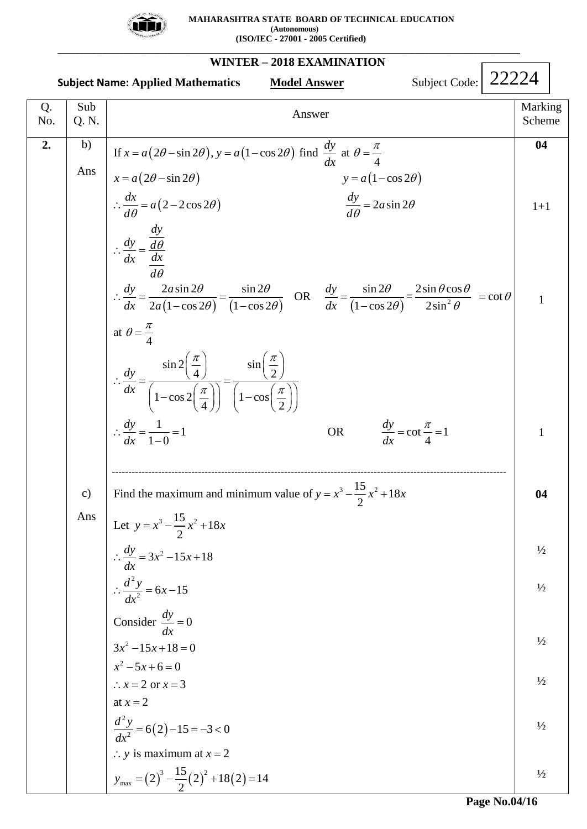

 **MAHARASHTRA STATE BOARD OF TECHNICAL EDUCATION (Autonomous) (ISO/IEC - 27001 - 2005 Certified)**

**WINTER – 2018 EXAMINATION Subject Name: Applied Mathematics Model Answer** Q. No. Sub Sub<br>
Q. N. Marking<br>
C. N. Scheme 2. b) Ans c) Ans  $(2\theta - \sin 2\theta), y = a(1 - \cos 2\theta)$  $x = a(2\theta - \sin 2\theta)$   $y = a(1-\cos 2\theta)$  $(2-2\cos 2\theta)$ Answer<br>
If  $x = a(2\theta - \sin 2\theta), y = a(1 - \cos 2\theta)$  find  $\frac{dy}{dx}$  at  $\theta = \frac{\pi}{4}$  $a(2\theta - \sin 2\theta), y = a(1 - \cos 2\theta)$  find  $\frac{dy}{dx}$  at  $\theta = \frac{\pi}{4}$ <br>  $2\theta - \sin 2\theta$ <br>  $y = a(1 - \cos 2\theta)$  $\begin{aligned} \n\theta = \sin 2\theta, & y = a(1 - \cos 2\theta) \text{ find } \frac{1}{dx} \text{ at } \theta = \frac{1}{4} \\ \n\text{sin } 2\theta \text{ } & y = a(1 - \cos 2\theta) \\ \n2 - 2\cos 2\theta \text{ } & \frac{dy}{d\theta} = 2a\sin 2\theta \n\end{aligned}$ *dy* Answer<br>  $x = a(2\theta - \sin 2\theta), y = a(1 - \cos 2\theta)$  find  $\frac{dy}{dx}$ If  $x = a(2\theta - \sin 2\theta)$ ,  $y = a(1 - \cos 2\theta)$  find  $\frac{dy}{dx}$  at  $\theta = x = a(2\theta - \sin 2\theta)$ <br> $y = a$  $x = a(2\theta - \sin 2\theta), y = a(1 - \cos 2\theta)$  find  $\frac{dy}{dx}$  at  $\theta = \frac{\pi}{4}$ <br>=  $a(2\theta - \sin 2\theta)$ <br> $\frac{dx}{d\theta} = a(2 - 2\cos 2\theta)$ <br> $\frac{dy}{d\theta} = 2a$  $a = a(2\theta - \sin 2\theta)$ <br>  $\frac{dx}{d\theta} = a(2 - 2\cos 2\theta)$ <br>  $\frac{dy}{d\theta}$ *dy*  $\frac{dy}{dx} - \frac{d}{dx}$  $dx$  *dx d dy*  $\therefore \frac{dy}{dx} = \frac{d\theta}{d\theta}$ <br>  $\therefore \frac{dy}{dx} = \frac{2a\sin 2\theta}{2a(1-\cos 2\theta)} = \frac{\sin 2\theta}{(1-\cos 2\theta)}$  OR  $\frac{dy}{dx} = \frac{\sin 2\theta}{(1-\cos 2\theta)} = \frac{2\sin \theta c}{2\sin^2 \theta}$ Answer<br>  $\theta - \sin 2\theta$ ,  $y = a(1 - \cos 2\theta)$  find  $\frac{dy}{dx}$  at  $\theta = \frac{\pi}{4}$  $(2\theta - \sin 2\theta), y = a(1 - \cos 2\theta)$  find  $\frac{dy}{dx}$  at  $\theta = \frac{\pi}{4}$ <br> $\theta - \sin 2\theta$   $y = a(1 - \cos 2\theta)$  $y = a(1-\cos 2\theta)$  find  $\frac{dy}{dx}$  at  $\theta = \frac{1}{4}$ <br> $y = a(1-\cos 2\theta)$ <br> $\frac{dy}{d\theta} = 2a\sin 2\theta$  $a(2\theta - \sin 2\theta)$ <br>  $\frac{dx}{d\theta} = a(2 - 2\cos 2\theta)$ <br>  $\frac{dy}{d\theta} = 2a\sin 2\theta$  $\theta$  $\theta$ Answer<br>=  $a(2\theta - \sin 2\theta)$ ,  $y = a(1 - \cos 2\theta)$  find  $\frac{dy}{dx}$  at  $\theta = \frac{\pi}{4}$  $x = a(2\theta - \sin 2\theta), y = a(1 - \cos 2\theta)$  find  $\frac{dy}{dx}$  at  $\theta = \frac{\pi}{4}$ <br>=  $a(2\theta - \sin 2\theta)$  <br>y =  $a(1 - \cos 2\theta)$ If  $x = a(2\theta - \sin 2\theta)$ ,  $y = a(1 - \cos 2\theta)$  find  $\frac{dy}{dx}$  at  $\theta = \frac{1}{4}$ <br>  $x = a(2\theta - \sin 2\theta)$ <br>  $\therefore \frac{dx}{d\theta} = a(2 - 2\cos 2\theta)$ <br>  $\frac{dy}{d\theta} = 2a\sin 2\theta$  $\therefore \frac{dx}{d\theta} = a(2 - 2\cos 2)$ <br> $\therefore \frac{dy}{dx} = \frac{\frac{dy}{d\theta}}{\frac{dx}{d\theta}}$  $\frac{\overline{2}}{\sqrt{2}}$ <br>  $\frac{2a\sin 2\theta}{(1-\cos 2\theta)} = \frac{\sin 2\theta}{(1-\cos 2\theta)}$  OR  $\frac{dy}{dx} = \frac{\sin 2\theta}{(1-\cos 2\theta)} = \frac{2\sin \theta \cos \theta}{2\sin^2 \theta} = \cot \theta$  $rac{dx}{d\theta}$ <br>  $rac{2a\sin 2\theta}{2a(1-\cos 2\theta)} = \frac{\sin 2\theta}{(1-\cos 2\theta)}$  OR  $rac{dy}{dx} = \frac{\sin 2\theta}{(1-\cos 2\theta)} = \frac{2\sin \theta}{2\sin \theta}$ at 4  $\frac{\sin 2\left(\frac{\pi}{4}\right)}{2} - \frac{\sin \left(\frac{\pi}{4}\right)}{2}$  $\frac{\pi}{4}$   $\frac{\pi}{4}$   $\frac{\pi}{4}$   $\frac{\pi}{4}$   $\frac{\pi}{4}$   $\frac{\pi}{4}$   $\frac{\pi}{4}$   $\frac{\pi}{4}$   $\frac{\pi}{4}$   $\frac{\pi}{4}$   $\frac{\pi}{4}$   $\frac{\pi}{4}$   $\frac{\pi}{4}$   $\frac{\pi}{4}$   $\frac{\pi}{4}$   $\frac{\pi}{4}$   $\frac{\pi}{4}$   $\frac{\pi}{4}$   $\frac{\pi}{4}$   $\frac{\pi}{4}$   $\frac{\pi}{4}$   $\frac{\pi}{4}$   $\frac{\sin 2\left(\frac{\pi}{4}\right)}{1-\cos 2\left(\frac{\pi}{4}\right)} = \frac{\sin \left(\frac{\pi}{4}\right)}{1-\cos \left(\frac{\pi}{4}\right)}$  $\frac{1}{\pi}$   $\frac{\pi}{4}$   $\frac{1}{2}$   $\frac{\pi}{4}$   $\frac{\pi}{4}$   $\frac{\pi}{2}$   $\frac{\pi}{4}$   $\frac{\pi}{2}$   $\frac{\pi}{2}$  $\frac{1}{2} = 1$  $\left(1 - \frac{1}{1 - 0}\right)$  $rac{a \sin 2\theta}{1-\cos 2\theta} = \frac{\sin 2\theta}{(1-\cos 2\theta)}$  OR  $rac{dy}{dx}$  $rac{dx}{d\theta}$ <br>  $rac{2a\sin 2\theta}{a(1-\cos 2\theta)} = \frac{\sin 2\theta}{(1-\cos 2\theta)}$  OR  $rac{dy}{dx}$ *dy dx dy dx*  $\frac{\theta}{\sqrt{2\theta}} = \frac{\sin 2\theta}{(1 - \cos 2\theta)}$  OR  $\frac{dy}{dx} = \frac{\sin 2\theta}{(1 - \cos 2\theta)} = \frac{2\sin \theta \cos \theta}{2\sin^2 \theta} = \cot \theta$  $\overline{\theta} = \frac{\sin 2\theta}{(1 - \cos 2\theta)}$  OR  $\frac{dy}{dx} = \frac{\sin 2\theta}{(1 - \cos 2\theta)} = \frac{2\sin \theta \cos \theta}{2\sin^2 \theta} = \cot \theta$  $\theta = \frac{\pi}{4}$ s 2 $\theta$ )  $(1-\cos 2\theta)$  dx<br> $\frac{\pi}{4}$   $\sin\left(\frac{\pi}{2}\right)$  $\left(\frac{\pi}{\frac{\pi}{4}}\right) = \frac{\sin\left(\frac{\pi}{2}\right)}{\left(1-\cos\left(\frac{\pi}{2}\right)\right)}$  $=\frac{\sin 2\theta}{(1-\cos 2\theta)}$  OR  $\frac{dy}{dx} = \frac{\sin 2\theta}{(1-\cos 2\theta)} = \frac{2\sin \theta \cos \theta}{2\sin^2 \theta} = \cot \theta$  1  $\frac{\sin 2\theta}{-\cos 2\theta} = \frac{\sin 2\theta}{(1-\cos 2\theta)}$  OR  $\frac{dy}{dx} = \frac{\sin 2\theta}{(1-\cos 2\theta)} = \frac{2\sin 2\theta}{2}$ ax  $2a(1-\cos 2\theta)$   $(1-\cos 2\theta)$  ax<br>
at  $\theta = \frac{\pi}{4}$ <br>  $\therefore \frac{dy}{dx} = \frac{\sin 2(\frac{\pi}{4})}{(\frac{1}{4} \cos 2(\frac{\pi}{4}))} = \frac{\sin (\frac{\pi}{2})}{(\frac{1}{4} \cos (\frac{\pi}{4}))}$ 4<br>  $\sin 2\left(\frac{\pi}{4}\right)$   $\frac{\sin \left(\frac{\pi}{2}\right)}{\left(1-\cos\left(\frac{\pi}{4}\right)\right)} = \frac{\sin \left(\frac{\pi}{2}\right)}{\left(1-\cos\left(\frac{\pi}{2}\right)\right)}$  $\therefore \frac{dy}{dx} = \frac{1}{\left(1 - \cos 2\left(\frac{\pi}{4}\right)\right)} = \frac{1}{\left(1 - \frac{\pi}{4}\right)} = \frac{1}{\left(1 - \frac{\pi}{4}\right)} = \frac{1}{1 - 0} = 1$  $\frac{d(x)}{dx}$  OR  $\frac{dy}{dx} = \cot \frac{\pi}{4} = 1$ *dy dx* π  $=\cot \frac{\pi}{4}=1$ -----------------------------------------------------------------------------------------------------------------------  $(2)$  $(2)^{3}$  $\frac{3}{5} - \frac{15}{5}x^2 + 18$ Let  $y = x^3 - \frac{15}{2}x^2 + 18$ 2 2  $\frac{dy}{dx} = 3x^2 - 15.$ <br> $\frac{d^2y}{dx^2} = 6x - 15$ 2  $x^2 - 5x + 6 = 0$ 2  $\therefore x = 2 \text{ or } x = 3$ <br>
at  $x = 2$ <br>  $\frac{d^2 y}{dx^2} = 6(2) - 15 = -3 < 0$ :. *y* is maximum at  $x = 2$ <br>  $y_{\text{max}} = (2)^3 - \frac{15}{2}(2)^2 + 18(2)$ 2 the maximum and minin<br>  $y = x^3 - \frac{15}{2}x^2 + 18x$  $x^3 - \frac{16}{2}x^2 + 1$ <br>3x<sup>2</sup> - 15x + 18 Consider  $\frac{dy}{dx} = 0$ <br>3x<sup>2</sup> - 15x + 18 = 0 Find the maximum and minimum value of  $y = x^3 - \frac{15}{2}x^2 + 18x$  $ax$ <br>  $3x^2-15x+18=0$ <br>  $x^2-5x+6=0$  $3x -13x+18=0$ <br> $x^2 -5x+6=0$ <br> $\therefore x = 2 \text{ or } x = 3$ at  $x = 2$  $\therefore$  y is maximum at  $x = 2$ *dy* Let  $y = x^3 - \frac{15}{2}x^2 + 18x$ <br>  $\therefore \frac{dy}{dx} = 3x^2 - 15x + 18$  $\therefore \frac{dy}{dx} = 3x^2 - 15x + 18$ <br> $\therefore \frac{d^2y}{dx^2} = 6x - 15$ *dx* Consider  $\frac{dy}{dx} = 0$ <br> $x^2 - 15x + 18 = 0$ *dx*  $\frac{y}{x^2} = 6(2) - 15 = -3$ <br>*y* is maximum at *x* = 2<br>= 6(2)-15 = -3 < 0  $\frac{d^2 y}{dx^2}$  = 6(2) – 15 = −3 < 0<br>∴ y is maximum at x = 2 2 um at  $x = 2$ <br> $\frac{15}{2}(2)^2 + 18(2) = 14$ **04** 1+1 1 1 **04**  $\frac{1}{2}$  $\frac{1}{2}$  $\frac{1}{2}$  $\frac{1}{2}$  $\frac{1}{2}$  $\frac{1}{2}$ Subject Code: 22224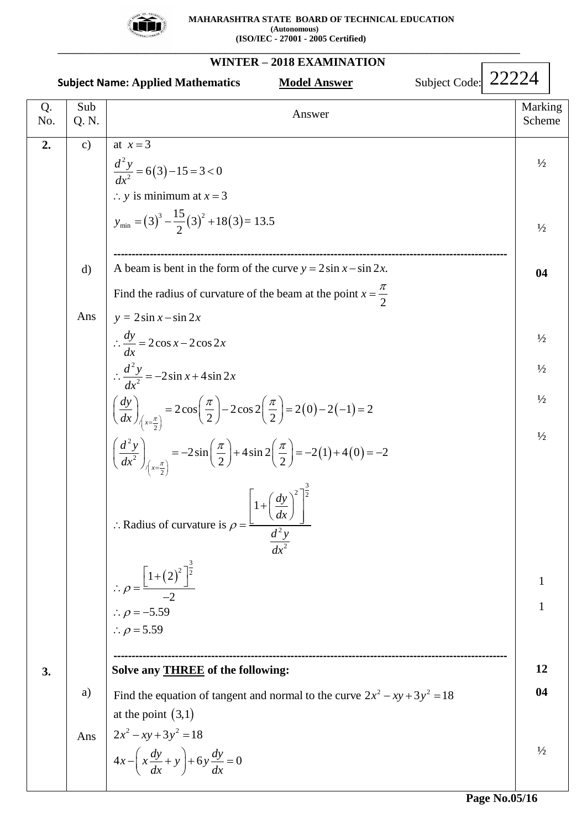

|           |              | Subject Code: 22224<br><b>Subject Name: Applied Mathematics</b><br><b>Model Answer</b>                                                                                                                                                                                                                                                                                                                                                                                                                                                                                                                                                                                                                                                                |                                                                            |  |
|-----------|--------------|-------------------------------------------------------------------------------------------------------------------------------------------------------------------------------------------------------------------------------------------------------------------------------------------------------------------------------------------------------------------------------------------------------------------------------------------------------------------------------------------------------------------------------------------------------------------------------------------------------------------------------------------------------------------------------------------------------------------------------------------------------|----------------------------------------------------------------------------|--|
| Q.<br>No. | Sub<br>Q. N. | Answer                                                                                                                                                                                                                                                                                                                                                                                                                                                                                                                                                                                                                                                                                                                                                | Marking<br>Scheme                                                          |  |
| 2.        | c)           | at $x=3$<br>$\frac{d^2y}{dx^2} = 6(3) - 15 = 3 < 0$<br>$\therefore$ y is minimum at $x = 3$<br>$y_{\text{min}} = (3)^3 - \frac{15}{2}(3)^2 + 18(3) = 13.5$                                                                                                                                                                                                                                                                                                                                                                                                                                                                                                                                                                                            | $\frac{1}{2}$<br>$\frac{1}{2}$                                             |  |
|           | d)           | A beam is bent in the form of the curve $y = 2\sin x - \sin 2x$ .<br>Find the radius of curvature of the beam at the point $x = \frac{\pi}{2}$                                                                                                                                                                                                                                                                                                                                                                                                                                                                                                                                                                                                        | 04                                                                         |  |
|           | Ans          | $y = 2\sin x - \sin 2x$<br>$\therefore \frac{dy}{dx} = 2\cos x - 2\cos 2x$<br>$\therefore \frac{d^2y}{dx^2} = -2\sin x + 4\sin 2x$<br>$\left(\frac{dy}{dx}\right)_{\left(x=\frac{\pi}{2}\right)} = 2\cos\left(\frac{\pi}{2}\right) - 2\cos 2\left(\frac{\pi}{2}\right) = 2(0) - 2(-1) = 2$<br>$\left(\frac{d^2 y}{dx^2}\right)_{\left(x=\frac{\pi}{2}\right)} = -2\sin\left(\frac{\pi}{2}\right) + 4\sin 2\left(\frac{\pi}{2}\right) = -2(1) + 4(0) = -2$<br>$\left[1+\left(\frac{dy}{dx}\right)^2\right]^{\frac{3}{2}}$<br>$\langle dx \rangle$<br>: Radius of curvature is $\rho =$<br>$\frac{d^2y}{dx^2}$<br>$\therefore \rho = \frac{\left[1+\left(2\right)^2\right]^{\frac{3}{2}}}{-2}$<br>$\therefore \rho = -5.59$<br>$\therefore \rho = 5.59$ | $\frac{1}{2}$<br>$\frac{1}{2}$<br>$\frac{1}{2}$<br>$\frac{1}{2}$<br>1<br>1 |  |
| 3.        | a)<br>Ans    | Solve any <b>THREE</b> of the following:<br>Find the equation of tangent and normal to the curve $2x^2 - xy + 3y^2 = 18$<br>at the point $(3,1)$<br>$2x^2 - xy + 3y^2 = 18$<br>$4x - \left(x\frac{dy}{dx} + y\right) + 6y\frac{dy}{dx} = 0$                                                                                                                                                                                                                                                                                                                                                                                                                                                                                                           | 12<br>04<br>$\frac{1}{2}$                                                  |  |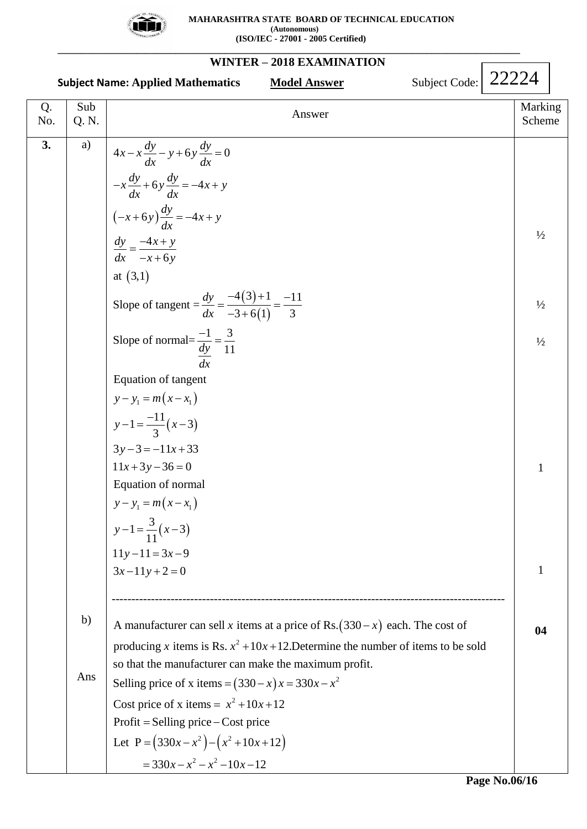

 **MAHARASHTRA STATE BOARD OF TECHNICAL EDUCATION (Autonomous) (ISO/IEC - 27001 - 2005 Certified)**

**WINTER – 2018 EXAMINATION Subject Name: Applied Mathematics Model Answer Subject Code:** Q. No. Sub Sub<br>
Q. N. Marking<br>  $\begin{array}{c|c}\n\hline\n\end{array}$  Marking<br>
Scheme Scheme **3.**  $|$  a) b) Ans  $\frac{dx}{(x+6y)}\frac{dy}{dx} = -4$ at  $(3,1)$  $(3)$ at (3,1)<br>Slope of tangent =  $\frac{dy}{dx} = \frac{-4(3)+1}{-3+6(1)} = \frac{-11}{3}$ Equation of tangent<br> $y - y_1 = m(x - x_1)$  $y-1 = \frac{-11}{3}(x-3)$  $4x - x \frac{dy}{dx} - y + 6y \frac{dy}{dx} = 0$  $x \frac{dy}{dx} + 6y \frac{dy}{dx} = -4x + y$ 4 6  $\frac{dy}{dx} = \frac{-4(3)+1}{-3+6(1)} = \frac{-1}{3}$  $\frac{dx}{dx}$  -<br>Slope of normal= $\frac{-1}{1} = \frac{3}{1}$  $dy = 11$ Equation of tangent  $3y-3 = -11x+33$  $3y-3 = -11x+3$ <br> $11x+3y-36 = 0$  $\frac{dy}{dx}$  – y + 6 y  $\frac{dy}{dx}$  $\frac{dy}{dx} + 6y \frac{dy}{dx}$ *dy*  $(-x+6y)\frac{dy}{dx} = -4x + y$  $\frac{dy}{dx} = \frac{-4x + y}{ }$  $\frac{dy}{dx} = \frac{-4x + y}{-x + 6y}$ *dx dx*  $-x\frac{dy}{dx} - y + 6y\frac{dy}{dx} = 0$  $\frac{dx}{-x\frac{dy}{dx}+6y\frac{dy}{dx}} = -4x+y$  $\left(\frac{1}{x}\right)^{x} = \frac{-4x + y}{-2}$  $\frac{-4x+y}{-x+6y}$  $-4(3)+1$  - $=\frac{-4(3)+1}{3+6(1)}=\frac{-11}{3}$  $\frac{-4(3)+1}{-3+6(1)}$  $\frac{-1}{1}$ - $-1 = \frac{-11}{3}(x-3)$ Equation of normal<br> $y - y_1 = m(x - x_1)$  $(x-3)$ Equation of normal 3  $y-1 = \frac{3}{11}(x-3)$  $y-1-\frac{1}{11}(x-3)$ <br>11y-11=3x-9  $11y-11 = 3x-9$ <br> $3x-11y+2=0$ ----------------------------------------------------------------------------------------------------  $(330 - x)$ 2 A manufacturer can sell x items at a price of Rs.  $(330 - x)$  each. The cost of A manufacturer can sell x items at a price of Rs.  $(330 - x)$  each. The cost of producing x items is Rs.  $x^2 + 10x + 12$ . Determine the number of items to be sold so that the manufacturer can make the maximum profi t.  $\overline{a}$  $(330-x)x = 330x - x^2$ Selling price – Cost price<br>  $(330x-x^2)-(x^2+10x+12)$ Cost price of x items =  $x^2 + 10x + 12$  $(x^2)$  -<br> $2^2 - x^2$ producing x items is Rs.  $x^2 + 10x + 12$ . Determine the numbs<br>so that the manufacturer can make the maximum profit.<br>Selling price of x items =  $(330 - x)x = 330x - x^2$ so that the manufacturer can make th<br>Selling price of x items =  $(330 - x)x$ <br>Cost price of x items =  $x^2 + 10x + 12$ Selling price of x items =  $(330 - x)$ <br>Cost price of x items =  $x^2 + 10x +$ <br>Profit = Selling price – Cost price Cost price of x items =  $x^2 + 10x + 12$ <br>Profit = Selling price – Cost price<br>Let P =  $(330x - x^2) - (x^2 + 10x + 12)$ Profit = Selling price – Cost price<br>Let P =  $(330x - x^2) - (x^2 + 10x +$ <br>=  $330x - x^2 - x^2 - 10x - 12$ rer can make the maximu<br>  $\text{as} = (330 - x)x = 330x -$ <br>  $= x^2 + 10x + 12$ *x* items =  $x^2 + 10$ .<br> *x* -  $x^2$  ) -  $(x^2 + 10x)$ ing price – Cost<br>  $0x - x^2$  ) – ( $x^2 + 1$ <br>  $x - x^2 - x^2 - 10x$ g price of x items =  $(330 - x)$ <br>rice of x items =  $x^2 + 10x + 1$ <br>= Selling price – Cost price rice of x items =  $x^2 + 10x + 12$ <br>= Selling price – Cost price<br>=  $(330x - x^2) - (x^2 + 10x + 12)$ = Selling price – Cost price<br>=  $(330x - x^2) - (x^2 + 10x + 12)$ <br>=  $330x - x^2 - x^2 - 10x - 12$  $1/2$  $\frac{1}{2}$  $\frac{1}{2}$ 1 1 **04** 22224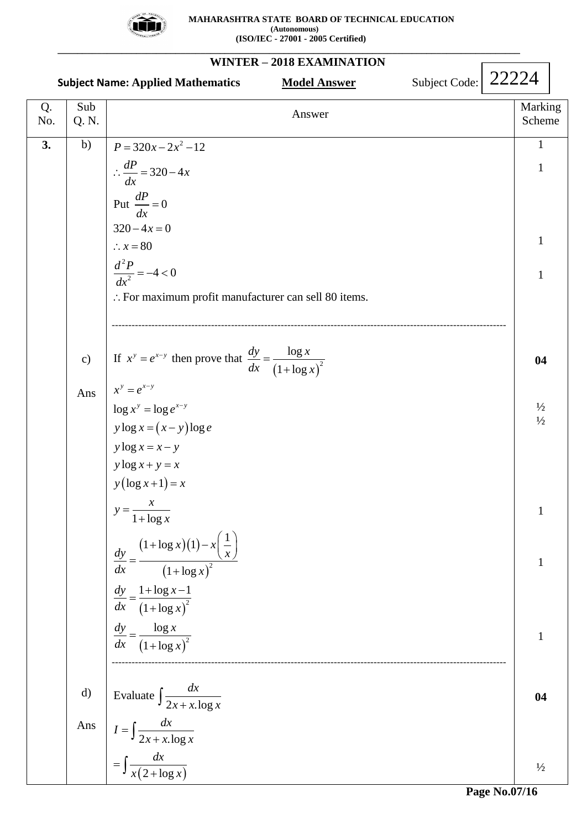

#### **WINTER – 2018 EXAMINATION Subject Name: Applied Mathematics Model Answer Subject Code:** Q. No. Sub Sub<br>
Q. N. Marking<br>  $\begin{array}{c|c}\n\hline\n\end{array}$  Marking<br>
Scheme Scheme  $3.$  b) c) Ans d) Ans 2 2 :.  $x = 80$ <br> $\frac{d^2 P}{dx^2} = -4 < 0$  $P = 320x - 2x^2 - 12$  $3x-2x^2$ <br>320 – 4 Put  $\frac{dP}{dx} = 0$ <br>320 – 4x = 0  $x = 80$ For maximum profit manufacturer can sell 80 items.  $\frac{dP}{dx} = 320 - 4x$ *P* = 320*x* - 2*x*<sup>2</sup> - 12<br>  $\therefore \frac{dP}{dx}$  = 320 - 4*x dx x*  $\therefore$  *x* = 80<br>  $\frac{d^2P}{dx^2}$  = -4 < 0  $\frac{dr}{dx} = 0$ <br>-4x = 0  $320-4x=0$ <br> $\therefore x=80$ ----------------------------------------------------------------------------------------------------------------------- If  $x^y = e^{x-y}$  then prove that  $\frac{dy}{dx} = \frac{\log x}{(1 + \log x)^2}$  $\log x^y = \log e^{x-y}$ <br>*y*  $\log x = (x - y) \log e$  $y \log x + y = x$ <br> $y (\log x + 1) = x$  $(1 + \log x)(1)$  $(1 + \log x)^2$  $\frac{1+\log x-1}{(1+\log x)^2}$  $(1 + \log x)^2$  $x^y = e^{x-y}$ <br>  $\log x^y = \log e^{x-y}$  $y \log x = (x - y)$ <br> $y \log x = x - y$  $v \log x + v = x$  $y = \frac{x}{1 + \log x}$ 1  $\log x$ <br>1+  $\log x$ )(1  $\frac{1 + \log \left(1 + \log \right)}{1 + \log \left(1 + \log \right)}$  $\frac{1 + \log x}{1 + \log x}$  $\frac{\log 7}{1 + \log 1}$  $x^y = e^{x-y}$  $y \log x = x - y$ <br>*y*  $\log x + y = x$ *x*  $\frac{1 + \log x}{dy}$   $(1 + \log x)(1) - x\left(\frac{1}{x}\right)$ *dx*  $(1 + \log x)$  $\frac{dx}{dy} = \frac{1 + \log x}{x}$  $dx \quad (1 + \log x)$  $\frac{dx}{dy}$   $\left(1 + \log x\right)$ <br> $\frac{dy}{dx} = \frac{\log x}{x}$  $dx \quad (1 + \log x)$ - $=e^{x-}$  $=\log e^{x-}$  $= e^{x-y}$  then prove that  $\frac{dy}{dx} = \frac{\log x}{1 + \log x}$  $=(x-y)$ lo<sub>3</sub><br>=  $x-y$  $=$  $\ddot{}$ 1+log x<br>  $(1+\log x)(1)-x\left(\frac{1}{x}\right)$ <br>  $=\frac{(1+\log x)(1-x)}{x^2}$  $\frac{(1+\log x)^2}{x+\log x-1}$  $=$  $^{+}$  $=$  $^{+}$ -----------------------------------------------------------------------------------------------------------------------  $\overline{(2 + \log x)}$ Evaluate  $\int \frac{dx}{2x + x \cdot \log x}$  $\frac{2x + x \cdot \log x}{2x + x \cdot \log x}$ *dx*  $\int \frac{dx}{2x + x \cdot \log x}$  $I = \int \frac{dx}{a}$  $=\int \frac{dx}{2x + x \cdot \log x}$ *dx*  $=\int \frac{dx}{x(2+\log x)}$  $\int \frac{1}{2x+1}$  $\int \frac{a}{x(2+}$ 1 1 1 1 **04**  $\frac{1}{2}$  $1/2$ 1 1 1 **04**  $\frac{1}{2}$ 22224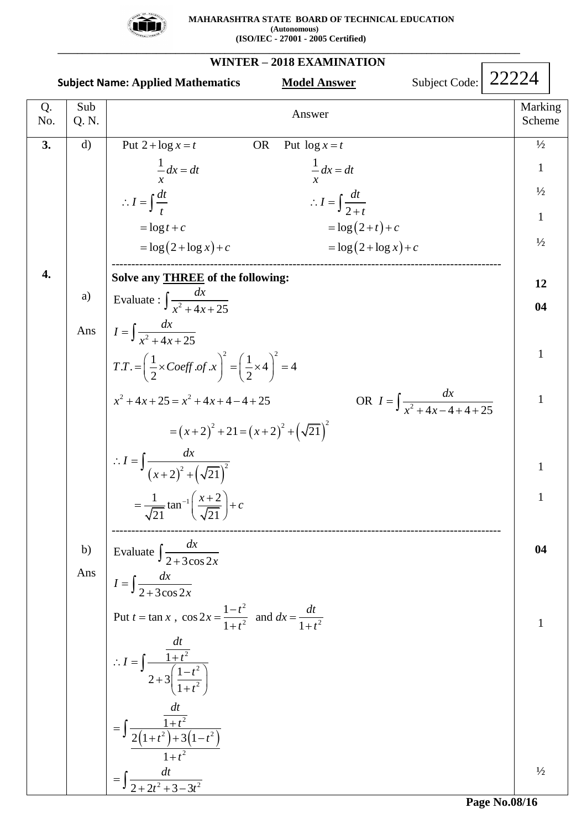

**WINTER – 2018 EXAMINATION Subject Name: Applied Mathematics Model Answer** Q. No. Sub Sub<br>
Q. N. Marking<br>  $\begin{array}{c|c}\n\hline\n\end{array}$  Marking<br>
Scheme Scheme **3. 4.** d) a) Evaluate :  $\int \frac{1}{x^2}$ Ans  $I = \int \frac{1}{x^2}$ b) Ans Answer<br>
Put 2 +  $\log x = t$  OR Put  $\log x = t$  $\log x = t$  OR Put  $\log \frac{1}{1} dx = dt$  1 x<br>  $\frac{dt}{t}$   $\therefore I = \int \frac{dt}{2+t}$  $\therefore I = \int \frac{dt}{t}$ <br>= log t + c Answer<br>  $x = t$  OR Put  $\log x = t$  $\begin{aligned}\ng x &= t \\
\frac{dx}{dt} &= dt\n\end{aligned}$  OR Put  $\begin{aligned}\n\log x &= t \\
\frac{1}{x} dx &= dt\n\end{aligned}$ Put  $2 + \log x = t$ <br>  $\frac{1}{x} dx = dt$ <br>
OR Put  $\log x = t$ <br>  $\frac{1}{x} dx = dt$  $\frac{1}{x}dx = dt$   $\frac{1}{x}dx = dt$ <br>  $I = \int \frac{dt}{t}$   $\therefore I = \int \frac{dt}{2 + t}$  $=$ **log**  $t + c$ Answer<br>+  $\log x = t$  OR Put  $\log x = t$  $\frac{1}{x}dx = dt$ <br>  $\therefore I = \int \frac{dt}{t}$ <br>  $\therefore I = \int \frac{dt}{2+t}$  $rac{1}{x}dx = dt$ <br>  $rac{1}{x}dx = dt$ <br>  $rac{1}{x}dx = dt$ <br>  $∴ I = \int \frac{dt}{2+t}$  $\frac{dt}{+t}$ <br> $(2+t)+c$ *x* + *c*<br>  $z + t$ <br>  $= \log(2+t) + c$ <br>  $= \log(2 + \log x) + c$ <br>  $= \log(2 + \log x) + c$  $\therefore I = \int \frac{dt}{2+t}$ <br>= log(2+t)+c  $= \log (2 + \log x) + c$ =  $\log t + c$ <br>=  $\log(2 + \log x) + c$ <br>=  $\log(2 + \log x) + c$ <br>=  $\log(2 + \log x) + c$ --------------------------------------------------------------------------------------------------- **Solve any THREE of the following:**  $(x+2)^{2} + 21 = (x+2)^{2} + (\sqrt{21})^{2}$  $(x+2)^2 + (\sqrt{21})^2$ 2  $(1)^2$  $x^2 + 4x + 25 = x^2 + 4x + 4 - 4 + 25$ 2  $x+4-4+25$ <br> $x^2+21=(x+2)^2$  $\frac{CE}{dx}$  of th<br> $\frac{dx}{4x+25}$  $\int \frac{1}{x^2 + 4} dx$ <br>  $4x + 25$ =  $\int \frac{dx}{x^2 + 4x + 25}$ <br>  $T. = \left(\frac{1}{2} \times Coeff. of.x\right)^2 = \left(\frac{1}{2} \times 4\right)^2 = 4$  $\overline{+4x+25}$ <br> $\frac{1}{2} \times Coeff. of x$   $\Bigg)^2 = \Bigg(\frac{1}{2}\Bigg)$  $=\left(\frac{1}{2} \times Coeff.of.x\right)^2 = \left(\frac{1}{2} \times 4\right)^2 = 4$ <br>  $4x + 25 = x^2 + 4x + 4 - 4 + 25$  OR  $\frac{dx}{x^2+4x-4+4+25}$  $x^2 + 4x + 25 = x^2 + 4x + 4 - 4 + 25$ <br>=  $(x+2)^2 + 21 = (x+2)^2 + (\sqrt{21})^2$  $=(x+2)^{2}$ <br> $\frac{dx}{(x+2)^{2}+(\sqrt{21})^{2}}$ *dx*  $\frac{HREE}{dx}$ <br> $\frac{dx}{x^2 + 4x}$  $I = \int \frac{dx}{1+x^2}$ ate :  $\int$ <br> $\frac{dx}{x^2 + 4x}$  $I = \int \frac{dx}{x^2 + 4x + 25}$ <br> $T.T. = \left(\frac{1}{2} \times Coeff.of.x\right)$  $T.T. = \left(\frac{1}{2} \times Coeff. of.x\right)^2 = \left(\frac{1}{2} \times 4\right)^2 = 4$ <br> $x^2 + 4x + 25 = x^2 + 4x + 4 - 4 + 25$  OR  $I = \int \frac{dx}{x^2 + 4x - 4}$  $I = \frac{dx}{1 - x^2}$  $I = \int \frac{dx}{(x+2)^2 + 1}$ REE of the followi<br> $\frac{dx}{1+4x+25}$  $=$   $\int$ e :  $\int \frac{dx}{x^2 + 4x + 25}$ <br>+ 4x + 25  $\frac{dx}{x^2 + 4x + 25}$ <br>=  $\left(\frac{1}{2} \times Coeff. of x\right)^2 = \left(\frac{1}{2} \times 4\right)^2 = 4$  $T = \left(\frac{1}{2} \times Coeff. of.x\right)^2 = \left(\frac{1}{2} \times 4\right)^2 = 4$ <br>+ 4x + 25 = x<sup>2</sup> + 4x + 4 - 4 + 25<br>OR  $I = \int \frac{dx}{x^2 + 4x - 4}$ =  $(x+2)^2 + 21 = 0$ <br>dx<br>+2)<sup>2</sup> +  $(\sqrt{21})^2$  $\int$  $\int \frac{dx}{(x+2)^2 + (\sqrt{21})^2}$ <br> $=\frac{1}{\sqrt{21}} \tan^{-1} \left( \frac{x+2}{\sqrt{21}} \right) + c$ tan  $(x+2)^2 + (\sqrt{21}$ <br> $\frac{1}{21} \tan^{-1} \left( \frac{x+2}{\sqrt{21}} \right)$  $\left(\frac{x+2}{\sqrt{c}}\right)+c$  $=\int \frac{dx}{(x+2)^2 + (\sqrt{21})^2}$ <br>=  $\frac{1}{\sqrt{21}} \tan^{-1} \left( \frac{x+2}{\sqrt{21}} \right) + c$ ---------------------------------------------------------------------------------------------------  $(1+t^2)+3(1-t^2)$  $\frac{1-t^2}{1+t^2}$  and  $dx = \frac{dt}{1+t^2}$ 2 2 2  $\frac{1+t^2}{2}$ <br> $\frac{2}{1+3}(1-t^2)$ 2  $\frac{dt}{2 + 2t^2 + 3 - 3t^2}$ Evaluate  $\frac{dx}{2 + 3\cos 2}$  $I = \int \frac{dx}{2 + 3\cos 2}$ Put  $t = \tan x$ ,  $\cos 2x = \frac{1 - t^2}{1 + t^2}$  and  $\frac{1-t^2}{1+t^2}$  and  $dx = \frac{1}{1}$ 1 1  $\frac{1+i}{2+3}\left(\frac{1}{1}\right)$  $\frac{\overline{1+t^2}}{2(1+t^2)+3(1)}$ 1  $\int \frac{dx}{2+3\cos 2x}$ *x*  $\int \frac{1}{2+3\cos 2x}$ <br>*t* = tan *x*,  $\cos 2x = \frac{1-t^2}{1+t^2}$  and  $dx = \frac{dt}{1+t^2}$  $\frac{-t^2}{+t^2}$  and  $dx = \frac{dt}{1+t}$ *dt*  $I = \frac{1+t}{1-t}$ *t t dt*  $\frac{1+t^2}{t^2}$ <br>  $t^2$  + 3(1-t *t*  $=$  $\int \frac{1}{2+1}$  $2+3\cos 2x$ <br>= tan x,  $\cos 2x = \frac{1-t^2}{1+t^2}$  and  $dx = \frac{dt}{1+t^2}$  $\frac{-t^2}{+t^2}$  and  $dx = \frac{dt}{1+t^2}$  $\therefore I = \int \frac{\frac{d}{1+t}}{1+t}$  $\frac{t^2}{\left(1-t^2\right)}$  $\int \frac{1+t^2}{2+3\left(\frac{1-t^2}{1+t^2}\right)}$  $=\int \frac{\overline{1+t^2}}{2(1+t^2)+3(1-t^2)}$  $^{+}$  $=$  $\frac{dt}{1+2t^2+3-3t^2}$  $\int$  $\int$  $1/2$ 1  $\frac{1}{2}$ 1  $\frac{1}{2}$ **12 04** 1 1 1 1 **04** 1  $\frac{1}{2}$ Subject Code: 22224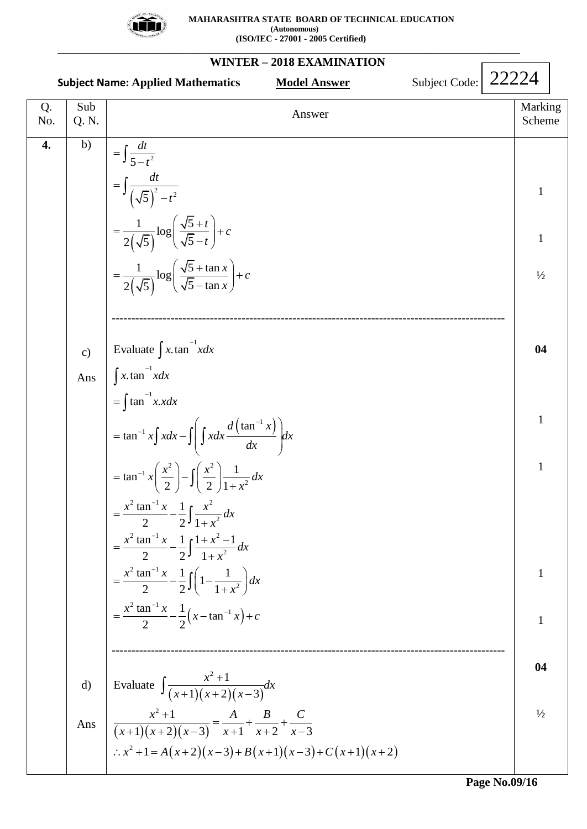

|           |               | Subject Code:<br><b>Subject Name: Applied Mathematics</b><br><b>Model Answer</b>                      | 22224 |                   |  |
|-----------|---------------|-------------------------------------------------------------------------------------------------------|-------|-------------------|--|
| Q.<br>No. | Sub<br>Q. N.  | Answer                                                                                                |       | Marking<br>Scheme |  |
| 4.        | b)            | $=\int \frac{dt}{5-t^2}$                                                                              |       |                   |  |
|           |               | $=\int \frac{dt}{\left(\sqrt{5}\right)^2 - t^2}$                                                      |       | $\mathbf{1}$      |  |
|           |               | $=\frac{1}{2(\sqrt{5})}\log\left(\frac{\sqrt{5}+t}{\sqrt{5}-t}\right)+c$                              |       | $\mathbf{1}$      |  |
|           |               | $=\frac{1}{2(\sqrt{5})}\log\left(\frac{\sqrt{5}+\tan x}{\sqrt{5}-\tan x}\right)+c$                    |       | $\frac{1}{2}$     |  |
|           |               |                                                                                                       |       |                   |  |
|           | $\mathbf{c})$ | Evaluate $\int x \cdot \tan^{-1} x dx$                                                                |       | 04                |  |
|           | Ans           | $\int x \cdot \tan^{-1} x dx$                                                                         |       |                   |  |
|           |               | $=\int \tan^{-1} x \cdot x dx$                                                                        |       | $\mathbf{1}$      |  |
|           |               | $=$ tan <sup>-1</sup> x $\int x dx - \int \left( \int x dx \frac{d (\tan^{-1} x)}{dx} \right) dx$     |       |                   |  |
|           |               | $= \tan^{-1} x \left( \frac{x^2}{2} \right) - \int \left( \frac{x^2}{2} \right) \frac{1}{1 + x^2} dx$ |       | $\mathbf{1}$      |  |
|           |               | $=\frac{x^2\tan^{-1}x}{2}-\frac{1}{2}\int \frac{x^2}{1+x^2}dx$                                        |       |                   |  |
|           |               | $=\frac{x^2\tan^{-1}x}{2}-\frac{1}{2}\int \frac{1+x^2-1}{1+x^2}dx$                                    |       |                   |  |
|           |               | $=\frac{x^2\tan^{-1}x}{2}-\frac{1}{2}\int\left(1-\frac{1}{1+x^2}\right)dx$                            |       | 1                 |  |
|           |               | $=\frac{x^2\tan^{-1}x}{2}-\frac{1}{2}(x-\tan^{-1}x)+c$                                                |       | $\mathbf{1}$      |  |
|           |               |                                                                                                       |       | 04                |  |
|           | d)            | Evaluate $\int \frac{x^2+1}{(x+1)(x+2)(x-3)} dx$                                                      |       |                   |  |
|           |               | Ans $\frac{x^2+1}{(x+1)(x+2)(x-3)} = \frac{A}{x+1} + \frac{B}{x+2} + \frac{C}{x-3}$                   |       | $\frac{1}{2}$     |  |
|           |               | $\therefore x^2 + 1 = A(x+2)(x-3) + B(x+1)(x-3) + C(x+1)(x+2)$                                        |       |                   |  |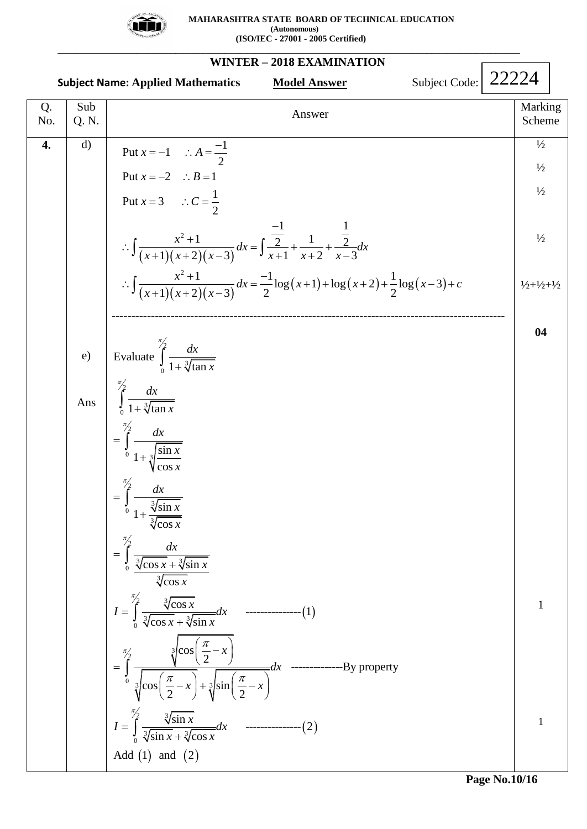

 **MAHARASHTRA STATE BOARD OF TECHNICAL EDUCATION (Autonomous) (ISO/IEC - 27001 - 2005 Certified)**

**WINTER – 2018 EXAMINATION Subject Name: Applied Mathematics Model Answer Subject Code:** Q. No. Sub Sub<br>
Q. N. Marking<br>  $\begin{array}{c|c}\n\hline\n\end{array}$  Marking<br>
Scheme Scheme **4.** d) e) Evaluate  $\int_{0}^{\frac{\pi}{2}}$ Ans  $(x+1)(x+2)(x-3)$  $(x+1)(x+2)(x-3)$  $(x+1)+\log(x+2)+\frac{1}{2}\log(x-3)$  $C = \frac{1}{2}$ <br>2 + 1  $\qquad \qquad \frac{-1}{2}$   $\qquad \qquad \frac{1}{2}$ 2 Put  $x = -1$   $\therefore A = \frac{-1}{2}$  $x = -1$  :  $A = \frac{-2}{2}$ Put  $x = -2$  :  $B = 1$ Put  $x = 3$   $\therefore C = \frac{1}{2}$  $x = -2$  :  $B = 1$ <br> $x = 3$  :  $C = \frac{1}{2}$  $C = \frac{1}{2}$ <br> $\frac{1}{2(1+r-3)} dx = \int \frac{\frac{-1}{2}}{x+1} + \frac{1}{x+2} + \frac{\frac{1}{2}}{x-1}$  $\frac{x^2+1}{1(x+2)(x-3)}dx = \int \frac{\frac{-1}{2}}{x+1} + \frac{1}{x+2} + \frac{\frac{1}{2}}{x-3}$  $\frac{1}{2(2)(x-3)}dx = \int \frac{2}{x+1} dx + \frac{1}{x+2} dx + \frac{2}{x-3} dx$ <br>  $\frac{1}{2(2)(x-3)}dx = \frac{-1}{2}\log(x+1) + \log(x+2) + \frac{1}{2}\log(x-3)$ 1) $(x+2)(x-3)$ <br>  $x+1$ <br>  $x+2$ <br>  $x-3$ <br>  $\frac{x^2+1}{1)(x+2)(x-3)}dx = \frac{-1}{2}\log(x+1) + \log(x+2) + \frac{1}{2}$ *x* = -1  $\therefore$  *A* =  $\frac{1}{2}$ <br>*x* = -2  $\therefore$  *B* = 1 *x*  $dx = \int \frac{\frac{-1}{2}}{x+1} + \frac{1}{x+2} + \frac{\frac{1}{2}}{x-3}dx$  $\frac{x^2+1}{(x+1)(x+2)(x-3)}dx = \int \frac{-1}{\frac{2}{x+1}} + \frac{1}{x+2} + \frac{1}{x+3}$ *x*  $dx = \int \frac{2}{x+1} + \frac{1}{x+2} + \frac{2}{x-3} dx$ <br>  $dx = -\frac{1}{2} \log(x+1) + \log(x+2) + \frac{1}{2} \log(x-3) + c$  $(x+1)(x+2)(x$ <br> $\frac{x^2+1}{(x+1)(x+2)(x)}$  $=-1$  :  $A=\frac{-1}{2}$  $= -1$  :  $A = \frac{-1}{2}$ <br>= -2 :  $B = 1$  $\therefore \int \frac{x^2 + 1}{(x+1)(x+2)(x-3)} dx = \int \frac{-1}{x+1} + \frac{1}{x+2} + \frac{1}{x-3} dx$ at  $x = 3$   $\therefore C = \frac{1}{2}$ <br> $\int \frac{x^2 + 1}{(x+1)(x+2)(x-3)} dx = \int \frac{-1}{\frac{2}{x+1}} + \frac{1}{x+2} + \frac{\frac{1}{2}}{x-3} dx$  $\therefore \int \frac{x^2+1}{(x+1)(x+2)(x-3)} dx = \int \frac{\frac{1}{2}}{x+1} + \frac{1}{x+2} + \frac{\frac{1}{2}}{x-3} dx$ <br>  $\therefore \int \frac{x^2+1}{(x+1)(x+2)(x-3)} dx = \frac{-1}{2} \log(x+1) + \log(x+2) + \frac{1}{2} \log(x-3) + c$ +1)(x+2)(x-3)<sup>dx</sup> J<sub>x</sub><br> $\frac{x^2+1}{(x+2)(x-3)}dx = \frac{-1}{2}$ J ----------------------------------------------------------------------------------------------------  $(1)$  $\frac{1}{2}$  1 +  $\frac{3}{2}$ 2  $\int_{0}^{\frac{t}{2}} \frac{dx}{1 + \sqrt[3]{\tan}}$ 2  $\int_{0}^{0} 1 + \sqrt[3]{\sinh^2}$ 2  $\begin{array}{c} \text{J} \\ 0 & 1 \end{array}$  $1+\frac{\sqrt[3]{\sin}}{\sqrt[3]{\cos}}$  $\int_{0}^{2} \frac{dx}{\sqrt[3]{\cos x} + \sqrt[3]{x}}$  $\frac{dx}{\cos x + \sqrt[3]{\sin x}}$ 2 3 3 3 0 cos --------------- 1  $\begin{matrix} 2 & 3 \\ 2 & 1 \end{matrix}$  $\mathbf{0}$  $\sqrt{\cos\left(\frac{\pi}{2} - x\right)} + \frac{3}{4}$ Evaluate  $\frac{dx}{1 + \sqrt[3]{\tan}}$ cos cos cos  $\frac{\sqrt[3]{\cos x}}{\cos x + \sqrt[3]{\sin x}}$ cos  $\frac{2}{\sqrt{2}}$  dx ----- $\frac{\sqrt[3]{\cos\left(\frac{\pi}{2} - x\right)}}{\cos\left(\frac{\pi}{2} - x\right) + \sqrt[3]{\sin\left(\frac{\pi}{2} - x\right)}}$  $\frac{\pi}{2} - x + \sqrt[3]{\sin\left(\frac{\pi}{2}\right)}$ *dx x dx x dx x x dx x x dx*  $\frac{dx}{x + \sqrt[3]{\sin x}}$ *x x*  $I = \int_{0}^{\frac{\pi}{2}} \frac{\sqrt[3]{\cos x}}{\sqrt[3]{\cos x} + \sqrt[3]{\sin x}} dx$  $\int_{0}^{\pi/2} \frac{\sqrt[3]{\cos x}}{\sqrt[3]{\cos x} + \sqrt[3]{\sin x}}$ *x dx*  $\int_{0}^{\frac{\pi}{2}} \frac{\sqrt[3]{\cos\left(\frac{\pi}{2} - x\right)}}{\sqrt[3]{\cos\left(\frac{\pi}{2} - x\right)} + \sqrt[3]{\sin\left(\frac{\pi}{2} - x\right)}} dx$ π π π π π  $\int_{0}$  $\int_{0}$  $=$  $\ddot{}$  $=$  $\ddot{}$  $=$  $\int_{0}^{\frac{\pi}{3}} \frac{dx}{\sqrt[3]{\cos x} +$  $=$  $\int_{0}^{\frac{\sqrt{C}}{3}} \frac{\sqrt{C}}{\sqrt[3]{\cos x}}$   $\frac{\sqrt[3]{\cos\left(\frac{\pi}{2} - x\right)}}{\left(\frac{\pi}{2} - x\right) + \sqrt[3]{\sin\left(\frac{\pi}{2} - x\right)}} dx$  ----- $\int$ J ---------By property  $(2)$ Add  $(1)$  and  $(2)$ 2 3 3 3 0 sin --------------- 2  $\frac{\sqrt[3]{\sin x}}{\sin x + \sqrt[3]{\cos x}}$  $I = \int_0^2 \frac{\sqrt[3]{\sin x}}{\sqrt[3]{\sin x} + \sqrt[3]{x}}$ <br>Add (1) and (2)  $I = \int_{0}^{\frac{\pi}{2}} \frac{\sqrt[3]{\sin x}}{\sqrt[3]{\sin x} + \sqrt[3]{\cos x}} dx$  $\int_{0}^{\pi/2} \frac{\sqrt[3]{\sin x}}{\sqrt[3]{\sin x} + \sqrt[3]{\cos x}}$  $=$  $\int_{0}^{\frac{\sqrt{5}}{2}} \frac{\sqrt{5}}{\sqrt[3]{\sin x}}$  $1/2$  $\frac{1}{2}$  $\frac{1}{2}$  $\frac{1}{2}$  $\frac{1}{2}+\frac{1}{2}+\frac{1}{2}$ **04** 1 1 22224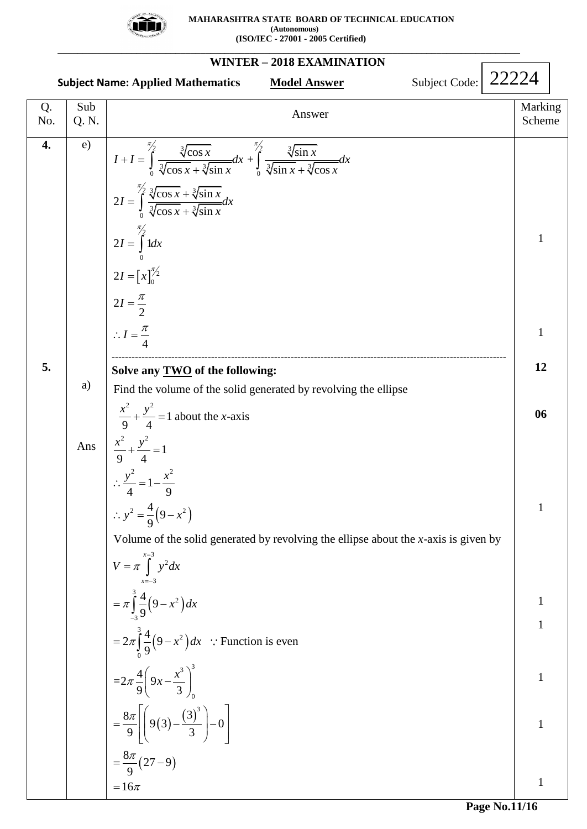

#### **WINTER – 2018 EXAMINATION Subject Name: Applied Mathematics Model Answer Subject Code:** Q. No. Sub Sub<br>
Q. N. Marking<br>  $\begin{array}{c|c}\n\hline\n\end{array}$  Marking<br>
Scheme Scheme **4. 5.** e) a) Ans  $\frac{x}{2} + \frac{y}{1} = 1$  $\left[x\right]_0^{72}$  $\sqrt{2}$   $\sqrt[3]{\cos x}$   $\frac{\pi}{2}$   $\sqrt[3]{2}$  $\int_0^{\frac{\sqrt{2} \cos x}{3} \sqrt{\cos x} + \sqrt[3]{\sin x}} dx + \int_0^{\frac{\sqrt{2} \sin x}{3} \sqrt{\sin x} + \sqrt[3]{\sin x}} 1 dx$  $\frac{2}{3}$   $\frac{3}{\cos x} + \frac{3}{2}$  $\int_0^{\frac{\sqrt{2}}{3}} \frac{\sqrt{2}}{\sqrt{2}} \cos x + \sqrt{2}}$ 2  $\mathbf{0}$  $2I = [x]_0^{\pi}$  $\frac{\cos x}{\cos x} dx + \int_{\frac{\pi}{2}}^{\frac{\pi}{2}} \frac{\sqrt[3]{\sin x}}{\sqrt[3]{\sin x} + \sqrt[3]{\cos x}} dx$  $I + I = \int_{0}^{\frac{\pi}{2}} \frac{\sqrt[3]{\cos x}}{\sqrt[3]{\cos x} + \sqrt[3]{\sin x}} dx + \int_{0}^{\frac{\pi}{2}} \frac{\sqrt[3]{\sin x}}{\sqrt[3]{\sin x} + \sqrt[3]{\cos x}} dx$  $\frac{\sqrt[3]{\cos x} + \sqrt[3]{s}}{2I} = \int_{0}^{\frac{\pi}{2}} \frac{\sqrt[3]{\cos x} + \sqrt[3]{\sin x}}{\sqrt[3]{\cos x} + \sqrt[3]{\sin x}}$  $\frac{\cos x + \sqrt[3]{\sin x}}{\cos x + \sqrt[3]{\sin x}}$  $2I = \int_0^{\frac{\pi}{2}} 1 dx$ 2 2 4  $I = \int_{0}^{\pi/2} \frac{\sqrt[3]{\cos x} + \sqrt[3]{\sin x}}{\sqrt[3]{\cos x} + \sqrt[3]{\sin x}} dx$  $=\int_{0}^{\frac{\pi}{2}} \frac{\sqrt[3]{\cos x} + \sqrt[3]{\sin x}}{\sqrt[3]{\cos x} + \sqrt[3]{\sin x}}$  $I=\frac{\pi}{2}$  $I=\frac{\pi}{4}$ π  $=\left[x\right]_0^{\pi}$  $\int_{0}^{\frac{\pi}{2}} \frac{\sqrt[3]{\cos x}}{\sqrt[3]{\cos x} + \sqrt[3]{\sin x}} dx + \int_{0}^{\frac{\pi}{2}} \frac{\sqrt[3]{\sin x}}{\sqrt[3]{\sin x} + \sqrt[3]{\cos x}}$  $\int_{0}^{\sqrt{100s}x} \frac{\sqrt{100s}}{\sqrt{100s}}$  $=$   $\int$  $\therefore I = \frac{\pi}{4}$ ----------------------------------------------------------------------------------------------------------------------- **Solve any TWO of the following:**  $\frac{1}{4} = 1 - \frac{1}{9}$ <br> $x^2 = \frac{4}{9}(9 - x^2)$ and the  $\frac{2}{y^2}$  $\frac{x}{9} + \frac{y}{4} = 1$  about the x-axis<br> $x^2 + y^2 = 1$  $+\frac{y}{4} = 1$ <br> $\frac{z}{2} = 1 - \frac{x^2}{2}$ Find the volume of the solid generated by revolving the ellipse ind the<br> $\frac{x^2}{9} + \frac{y^2}{4}$  $\frac{x}{9} + \frac{y^2}{9}$ <br> $\frac{x^2}{9} + \frac{y^2}{4}$  $+\frac{y}{4} = 1$ <br> $\frac{y^2}{4} = 1 - \frac{x^2}{9}$ ∴  $\frac{y^2}{4} = 1 - \frac{x^2}{9}$ <br>
∴  $y^2 = \frac{4}{9}(9 - x^2)$ Volume of the solid generated by revolving the ellipse about the  $x$ -axis is given by **olve any <u>TWO</u>** of the<br>ind the volume of the s<br> $\frac{x^2}{2} + \frac{y^2}{4} = 1$  about the x  $\frac{x^2}{9} + \frac{y^2}{9}$  $\frac{x^2}{9} + \frac{y^2}{4} = 1$ <br>  $\therefore \frac{y^2}{4} = 1 - \frac{x^2}{9}$ **e any <u>TWO</u>** of the<br>
l the volume of the<br>  $+\frac{y^2}{4} = 1$  about the *x*  $\frac{y^2}{4}$  = 1 about the<br>+  $\frac{y^2}{4}$  = 1  $(9-x^2)$  $(9-x^2)$  $(3)$  $8\pi$   $\Big(\begin{matrix} 0 & (3)^3 \\ (2)^3 & (3)^3 \end{matrix}\Big)$  $(27-9)$ 3 2 3 3 2 3 3 2 0  $3\lambda^3$  $\mathbf{0}$  $\frac{4}{9}$  $\int_{0}^{\frac{\pi}{3}} y^2 dx$ <br>  $\frac{4}{9} (9 - x^2) dx$ 4  $\pi \int_{-3}^{3} \frac{4}{9} (9 - x^2) dx$ <br>  $2 \pi \int_{0}^{3} \frac{4}{9} (9 - x^2) dx$  : Function is even 4  $=2\pi \int_{0}^{4} \frac{4}{9}$ <br>=2 $\pi \frac{4}{9}$  9  $\int_{0}^{\frac{\pi}{9}} \frac{4}{9} \left( 9x - \frac{x^3}{3} \right)$  $\left.9x-\frac{x}{3}\right|_0$ <br>9(3)  $-\frac{(3)^3}{3}$   $-0$  $\frac{3\pi}{9}$   $\left[\left(9(3)-\frac{3}{3}\right)\right]$ 8  $\frac{\pi}{9}$  9(3)<br> $\frac{\pi}{9}$  (27 – 9) 9  $=16\pi$ *x* Volume of the<br>  $V = \pi \int_{x=-3}^{x=3} y^2 dx$  $\pi \frac{4}{9} \left( 9x - \frac{x}{9} \right)$ π π π  $\pi$  $\int_{0}^{x=3} y^2 dx$  $V = \pi \int_{x=-3}^{x=3} y^2 dx$ <br>=  $\pi \int_{-3}^{3} \frac{4}{9} (9 - x^2) dx$  $=$   $\pi$   $\int$ =  $\pi \int_{-3}^{3} \frac{4}{9} (9 - x^2) dx$ <br>=  $2\pi \int_{0}^{3} \frac{4}{9} (9 - x^2) dx$  : Fu  $\frac{4}{9}\left(9-x^2\right)dx$  : Function<br> $\left(9x-\frac{x^3}{3}\right)_0^3$  $9\left(\frac{2}{3}\right)$ <br> $\left(9x-\frac{x^3}{3}\right)_0^3$  $\frac{4}{9}\left(9x-\frac{x^3}{3}\right)_0^3$ <br> $\left[\left(9(3)-\frac{(3)^3}{9}\right)-0\right]$  $=2\pi\frac{4}{9}\left(9x-\frac{x}{3}\right)_{0}$ <br>=  $\frac{8\pi}{9}\left[\left(9(3)-\frac{(3)^{3}}{3}\right)-0\right]$  $\left[\left(9(3)-\frac{(3)^3}{3}\right)-0\right]$  $=\frac{8\pi}{9}\left(9(3)-\frac{(3)}{3}\right)-C$ <br>=  $\frac{8\pi}{9}(27-9)$ ſ 1 1 **12 06** 1 1 1 1 1 1 22224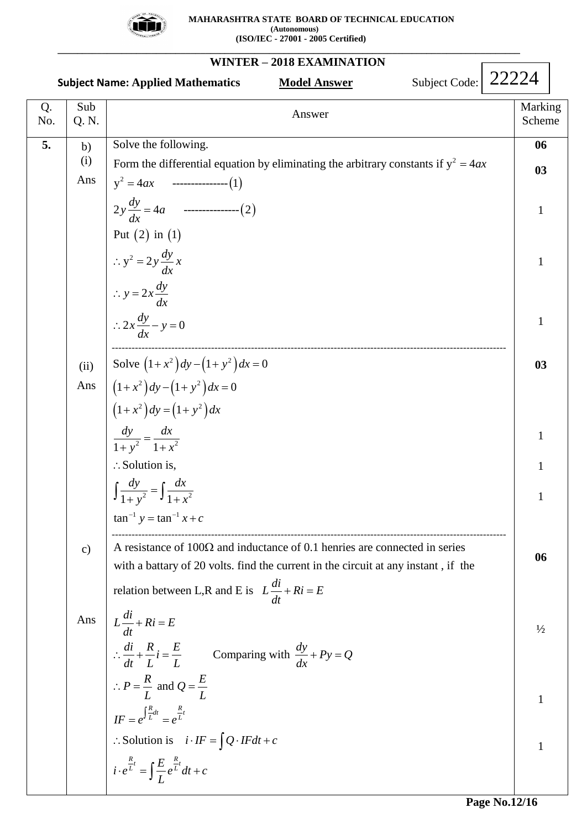

|           |               | Subject Code:   22224<br><b>Subject Name: Applied Mathematics</b><br><b>Model Answer</b>        |               |                   |
|-----------|---------------|-------------------------------------------------------------------------------------------------|---------------|-------------------|
| Q.<br>No. | Sub<br>Q. N.  | Answer                                                                                          |               | Marking<br>Scheme |
| 5.        | b)            | Solve the following.                                                                            |               | 06                |
|           | (i)           | Form the differential equation by eliminating the arbitrary constants if $y^2 = 4ax$            |               | 03                |
|           | Ans           |                                                                                                 |               |                   |
|           |               | $2y \frac{dy}{dx} = 4a$ ----------------(2)                                                     | $\mathbf{1}$  |                   |
|           |               | Put $(2)$ in $(1)$                                                                              |               |                   |
|           |               | $\therefore y^2 = 2y \frac{dy}{dx} x$                                                           | 1             |                   |
|           |               | $\therefore y = 2x \frac{dy}{dx}$                                                               |               |                   |
|           |               | $\therefore 2x \frac{dy}{dx} - y = 0$                                                           |               | 1                 |
|           | (ii)          | Solve $(1+x^2)dy - (1+y^2)dx = 0$                                                               |               | 03                |
|           | Ans           | $(1+x^2)dy - (1+y^2)dx = 0$                                                                     |               |                   |
|           |               | $(1+x^2)dy = (1+y^2)dx$                                                                         |               |                   |
|           |               | $rac{dy}{1+y^2} = \frac{dx}{1+x^2}$                                                             | 1             |                   |
|           |               |                                                                                                 |               |                   |
|           |               | $\therefore$ Solution is,                                                                       |               |                   |
|           |               | $\int \frac{dy}{1+y^2} = \int \frac{dx}{1+x^2}$                                                 | 1             |                   |
|           |               | $\tan^{-1} y = \tan^{-1} x + c$                                                                 |               |                   |
|           | $\mathbf{c})$ | A resistance of $100\Omega$ and inductance of 0.1 henries are connected in series               |               |                   |
|           |               | with a battary of 20 volts. find the current in the circuit at any instant, if the              |               | 06                |
|           |               | relation between L,R and E is $L\frac{di}{dt} + Ri = E$                                         |               |                   |
|           | Ans           | $L\frac{di}{dt} + Ri = E$                                                                       |               |                   |
|           |               |                                                                                                 | $\frac{1}{2}$ |                   |
|           |               | $\therefore \frac{di}{dt} + \frac{R}{L}i = \frac{E}{L}$ Comparing with $\frac{dy}{dx} + Py = Q$ |               |                   |
|           |               | $\therefore P = \frac{R}{L}$ and $Q = \frac{E}{L}$                                              | 1             |                   |
|           |               | $IF = e^{\int \frac{R}{L} dt} = e^{\frac{R}{L}t}$                                               |               |                   |
|           |               | : Solution is $i \cdot IF = \int Q \cdot IF dt + c$                                             | $\mathbf{1}$  |                   |
|           |               | $i \cdot e^{\frac{R}{L}t} = \int \frac{E}{I} e^{\frac{R}{L}t} dt + c$                           |               |                   |
|           |               |                                                                                                 |               |                   |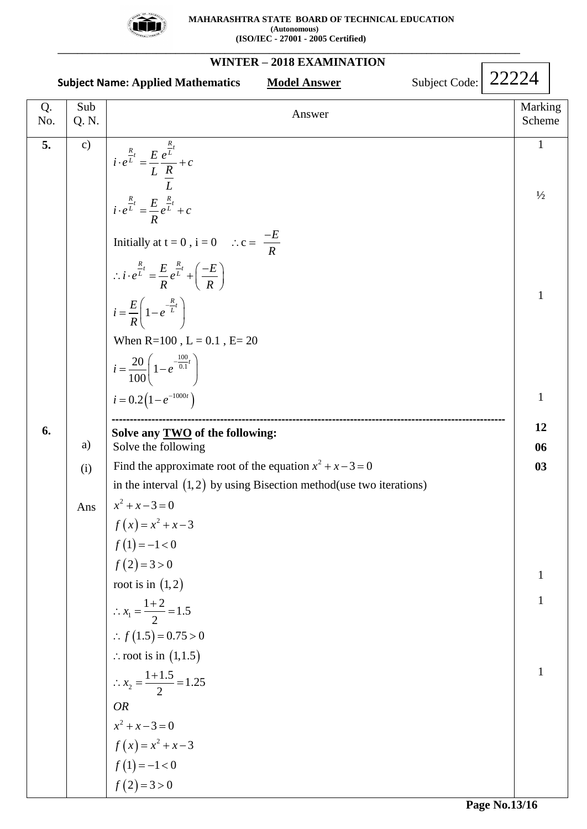

|           |               | WINTER – $2010$ EAAMINATION<br>Subject Code:<br><b>Subject Name: Applied Mathematics</b><br><b>Model Answer</b> | 22224 |                   |  |
|-----------|---------------|-----------------------------------------------------------------------------------------------------------------|-------|-------------------|--|
| Q.<br>No. | Sub<br>Q. N.  | Answer                                                                                                          |       | Marking<br>Scheme |  |
| 5.        | $\mathbf{c})$ | $i \cdot e^{\frac{R}{L}t} = \frac{E}{L} \frac{e^{\frac{R}{L}t}}{\frac{R}{L}} + c$                               |       | $\mathbf{1}$      |  |
|           |               | $i \cdot e^{\frac{R}{L}t} = \frac{E}{R} e^{\frac{R}{L}t} + c$                                                   |       | $\frac{1}{2}$     |  |
|           |               | Initially at $t = 0$ , $i = 0$ $\therefore c = \frac{-E}{R}$                                                    |       |                   |  |
|           |               | $\therefore i \cdot e^{\frac{R}{L}t} = \frac{E}{R} e^{\frac{R}{L}t} + \left(\frac{-E}{R}\right)$                |       | 1                 |  |
|           |               | $i = \frac{E}{R} \left( 1 - e^{-\frac{R}{L}t} \right)$<br>When $R=100$ , $L = 0.1$ , $E=20$                     |       |                   |  |
|           |               | $i = \frac{20}{100} \left( 1 - e^{-\frac{100}{0.1}t} \right)$                                                   |       |                   |  |
|           |               | $i = 0.2(1 - e^{-1000t})$                                                                                       |       | $\mathbf{1}$      |  |
| 6.        |               | Solve any <b>TWO</b> of the following:                                                                          |       | 12                |  |
|           | a)            | Solve the following                                                                                             |       | 06                |  |
|           | (i)           | Find the approximate root of the equation $x^2 + x - 3 = 0$                                                     |       | 03                |  |
|           |               | in the interval $(1,2)$ by using Bisection method (use two iterations)<br>$x^2 + x - 3 = 0$                     |       |                   |  |
|           | Ans           | $f(x) = x^2 + x - 3$                                                                                            |       |                   |  |
|           |               | $f(1) = -1 < 0$                                                                                                 |       |                   |  |
|           |               | $f(2)=3>0$                                                                                                      |       |                   |  |
|           |               | root is in $(1,2)$                                                                                              |       | 1                 |  |
|           |               | $\therefore x_1 = \frac{1+2}{2} = 1.5$                                                                          |       | $\mathbf{1}$      |  |
|           |               |                                                                                                                 |       |                   |  |
|           |               | :. $f(1.5) = 0.75 > 0$<br>$\therefore$ root is in $(1,1.5)$                                                     |       |                   |  |
|           |               |                                                                                                                 |       | $\mathbf{1}$      |  |
|           |               | $\therefore x_2 = \frac{1+1.5}{2} = 1.25$                                                                       |       |                   |  |
|           |               | <b>OR</b>                                                                                                       |       |                   |  |
|           |               | $x^2 + x - 3 = 0$                                                                                               |       |                   |  |
|           |               | $f(x) = x^2 + x - 3$<br>$f(1) = -1 < 0$                                                                         |       |                   |  |
|           |               | $f(2)=3>0$                                                                                                      |       |                   |  |
|           |               |                                                                                                                 |       |                   |  |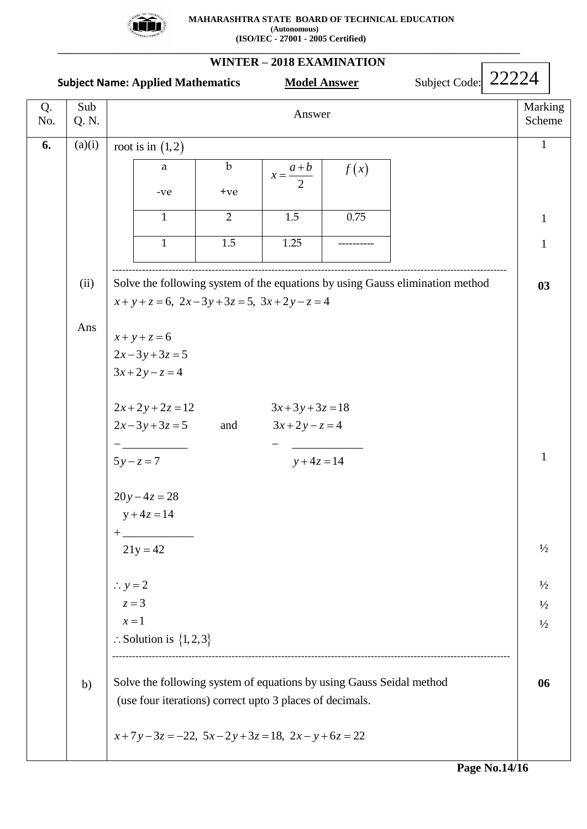

|           |              | <b>Subject Name: Applied Mathematics</b>                                                                                         | <b>Model Answer</b>          |      | Subject Code: 22224 |                   |  |
|-----------|--------------|----------------------------------------------------------------------------------------------------------------------------------|------------------------------|------|---------------------|-------------------|--|
| Q.<br>No. | Sub<br>Q. N. |                                                                                                                                  | Answer                       |      |                     | Marking<br>Scheme |  |
| 6.        | (a)(i)       | root is in $(1,2)$                                                                                                               |                              |      |                     | $\mathbf{1}$      |  |
|           |              | $\mathbf b$<br>a                                                                                                                 | $x = \frac{a+b}{2}$          | f(x) |                     |                   |  |
|           |              | $-ve$<br>$+ve$                                                                                                                   |                              |      |                     |                   |  |
|           |              | $\overline{2}$<br>$\mathbf{1}$                                                                                                   | $1.5\,$                      | 0.75 |                     | $\mathbf{1}$      |  |
|           |              | 1.5<br>$\mathbf{1}$                                                                                                              | 1.25                         |      |                     | $\mathbf{1}$      |  |
|           | (ii)         | Solve the following system of the equations by using Gauss elimination method<br>$x+y+z=6$ , $2x-3y+3z=5$ , $3x+2y-z=4$          |                              |      |                     | 03                |  |
|           | Ans          | $x + y + z = 6$<br>$2x-3y+3z=5$<br>$3x+2y-z=4$                                                                                   |                              |      |                     |                   |  |
|           |              | $2x+2y+2z=12$<br>$2x-3y+3z=5$<br>and                                                                                             | $3x+3y+3z=18$<br>$3x+2y-z=4$ |      |                     |                   |  |
|           |              | $5y - z = 7$<br>$20y-4z=28$<br>$y + 4z = 14$                                                                                     | $y + 4z = 14$                |      |                     | $\mathbf{1}$      |  |
|           |              | $21y = 42$                                                                                                                       |                              |      |                     | $\frac{1}{2}$     |  |
|           |              | $\therefore$ y = 2                                                                                                               |                              |      |                     | $\frac{1}{2}$     |  |
|           |              | $z=3$<br>$x=1$                                                                                                                   |                              |      |                     | $\frac{1}{2}$     |  |
|           |              | $\therefore$ Solution is $\{1, 2, 3\}$                                                                                           |                              |      |                     | $\frac{1}{2}$     |  |
|           | b)           | Solve the following system of equations by using Gauss Seidal method<br>(use four iterations) correct upto 3 places of decimals. |                              |      |                     | 06                |  |
|           |              | $x+7y-3z = -22$ , $5x-2y+3z = 18$ , $2x-y+6z = 22$                                                                               |                              |      |                     |                   |  |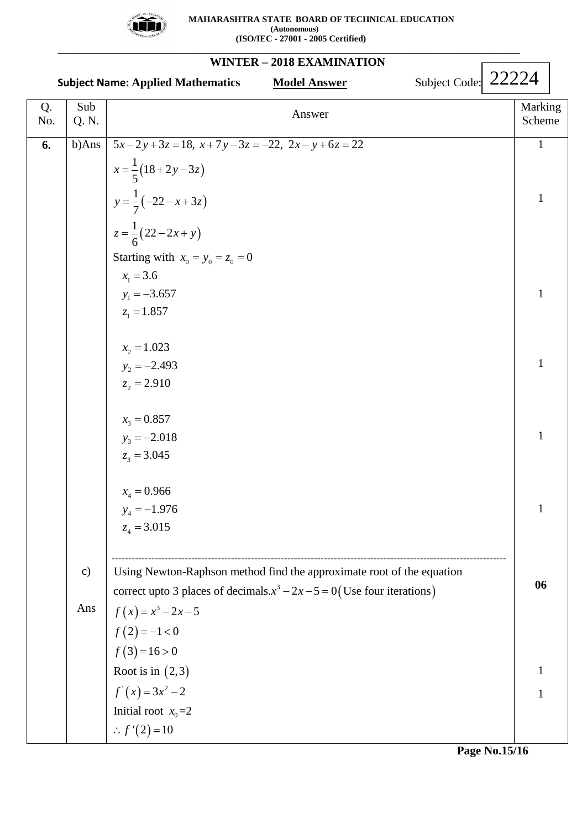

### **\_\_\_\_\_\_\_\_\_\_\_\_\_\_\_\_\_\_\_\_\_\_\_\_\_\_\_\_\_\_\_\_\_\_\_\_\_\_\_\_\_\_\_\_\_\_\_\_\_\_\_\_\_\_\_\_\_\_\_\_\_\_\_\_\_\_\_\_\_\_\_\_\_\_\_\_\_\_\_\_\_\_\_\_\_\_\_\_\_\_\_\_\_\_ WINTER – 2018 EXAMINATION**

|           |               | Subject Code: 22224<br><b>Subject Name: Applied Mathematics</b><br><b>Model Answer</b> |                   |
|-----------|---------------|----------------------------------------------------------------------------------------|-------------------|
| Q.<br>No. | Sub<br>Q. N.  | Answer                                                                                 | Marking<br>Scheme |
| 6.        | b)Ans         | $5x-2y+3z=18$ , $x+7y-3z=-22$ , $2x-y+6z=22$                                           | $\mathbf{1}$      |
|           |               | $x = \frac{1}{5}(18+2y-3z)$                                                            |                   |
|           |               | $y = \frac{1}{7}(-22 - x + 3z)$                                                        | $\mathbf{1}$      |
|           |               | $z = \frac{1}{6}(22 - 2x + y)$                                                         |                   |
|           |               | Starting with $x_0 = y_0 = z_0 = 0$                                                    |                   |
|           |               | $x_1 = 3.6$                                                                            |                   |
|           |               | $y_1 = -3.657$                                                                         | $\mathbf{1}$      |
|           |               | $z_1 = 1.857$                                                                          |                   |
|           |               | $x_2 = 1.023$                                                                          |                   |
|           |               | $y_2 = -2.493$                                                                         | $\mathbf{1}$      |
|           |               | $z_2 = 2.910$                                                                          |                   |
|           |               | $x_3 = 0.857$                                                                          |                   |
|           |               | $y_3 = -2.018$                                                                         | $\mathbf{1}$      |
|           |               | $z_3 = 3.045$                                                                          |                   |
|           |               | $x_4 = 0.966$                                                                          |                   |
|           |               | $y_4 = -1.976$                                                                         | $\mathbf{1}$      |
|           |               | $z_4 = 3.015$                                                                          |                   |
|           | $\mathbf{c})$ | Using Newton-Raphson method find the approximate root of the equation                  |                   |
|           |               | correct upto 3 places of decimals $x^3 - 2x - 5 = 0$ (Use four iterations)             | 06                |
|           | Ans           | $f(x) = x^3 - 2x - 5$                                                                  |                   |
|           |               | $f(2) = -1 < 0$                                                                        |                   |
|           |               | $f(3)=16>0$                                                                            |                   |
|           |               | Root is in $(2,3)$                                                                     | 1                 |
|           |               | $f'(x) = 3x^2 - 2$                                                                     | 1                 |
|           |               | Initial root $x_0=2$                                                                   |                   |
|           |               | :. $f'(2) = 10$                                                                        |                   |

**Page No.15/16**